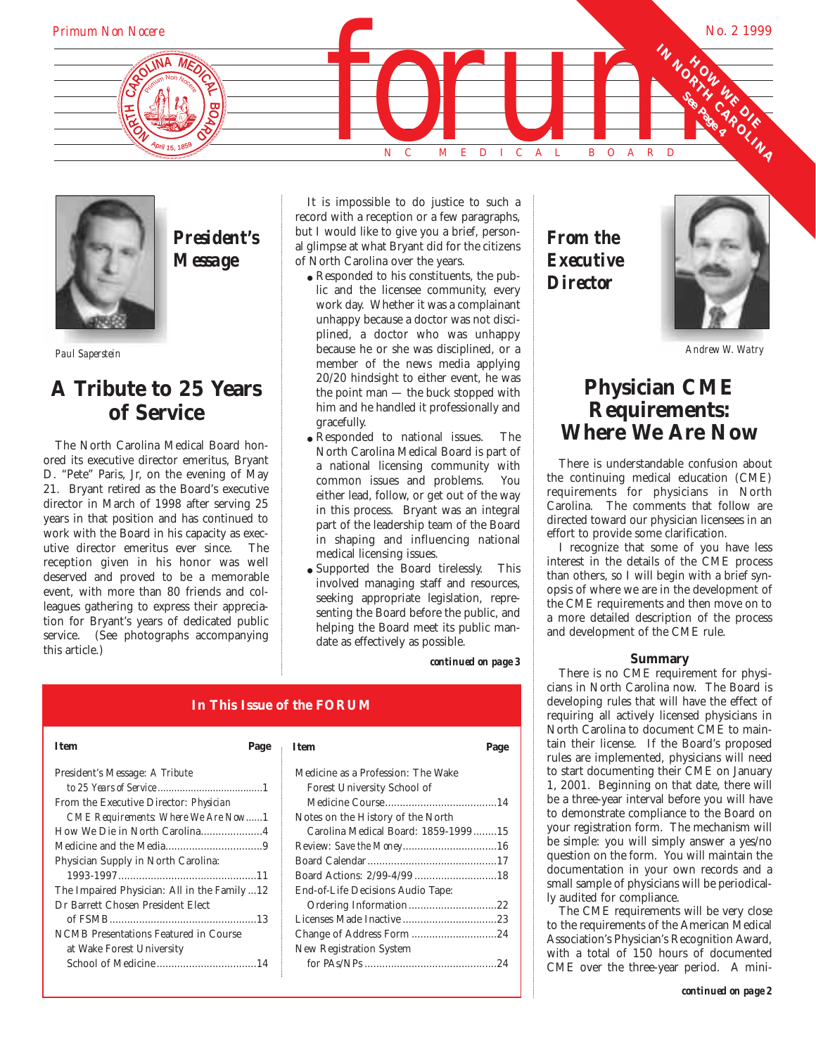



# *President's Message*

# **A Tribute to 25 Years of Service**

The North Carolina Medical Board honored its executive director emeritus, Bryant D. "Pete" Paris, Jr, on the evening of May 21. Bryant retired as the Board's executive director in March of 1998 after serving 25 years in that position and has continued to work with the Board in his capacity as executive director emeritus ever since. The reception given in his honor was well deserved and proved to be a memorable event, with more than 80 friends and colleagues gathering to express their appreciation for Bryant's years of dedicated public service. (See photographs accompanying this article.)

It is impossible to do justice to such a record with a reception or a few paragraphs, but I would like to give you a brief, personal glimpse at what Bryant did for the citizens of North Carolina over the years.

- *Paul Saperstein Andrew W. Watry* because he or she was disciplined, or a • Responded to his constituents, the public and the licensee community, every work day. Whether it was a complainant unhappy because a doctor was not disciplined, a doctor who was unhappy member of the news media applying 20/20 hindsight to either event, he was the point man — the buck stopped with him and he handled it professionally and gracefully.
	- Responded to national issues. The North Carolina Medical Board is part of a national licensing community with common issues and problems. You either lead, follow, or get out of the way in this process. Bryant was an integral part of the leadership team of the Board in shaping and influencing national medical licensing issues.
	- Supported the Board tirelessly. This involved managing staff and resources, seeking appropriate legislation, representing the Board before the public, and helping the Board meet its public mandate as effectively as possible.

*continued on page 3*

# **In This Issue of the FORUM**

| <b>Item</b>                                  | Page | <b>Item</b>                         | Page |
|----------------------------------------------|------|-------------------------------------|------|
| President's Message: A Tribute               |      | Medicine as a Profession: The Wake  |      |
|                                              |      | Forest University School of         |      |
| From the Executive Director: Physician       |      |                                     |      |
| CME Requirements: Where We Are Now1          |      | Notes on the History of the North   |      |
| How We Die in North Carolina4                |      | Carolina Medical Board: 1859-199915 |      |
|                                              |      |                                     |      |
| Physician Supply in North Carolina:          |      |                                     |      |
|                                              |      |                                     |      |
| The Impaired Physician: All in the Family 12 |      | End-of-Life Decisions Audio Tape:   |      |
| Dr Barrett Chosen President Elect            |      |                                     |      |
|                                              |      |                                     |      |
| NCMB Presentations Featured in Course        |      |                                     |      |
| at Wake Forest University                    |      | New Registration System             |      |
|                                              |      |                                     |      |
|                                              |      |                                     |      |

| <b>T</b> tem                        | Page |
|-------------------------------------|------|
| Medicine as a Profession: The Wake  |      |
| Forest University School of         |      |
|                                     |      |
| Notes on the History of the North   |      |
| Carolina Medical Board: 1859-199915 |      |
|                                     |      |
|                                     |      |
|                                     |      |
| End-of-Life Decisions Audio Tape:   |      |
| Ordering Information22              |      |
|                                     |      |
|                                     |      |
| New Registration System             |      |
|                                     |      |

*From the Executive Director*



# **Physician CME Requirements: Where We Are Now**

There is understandable confusion about the continuing medical education (CME) requirements for physicians in North Carolina. The comments that follow are directed toward our physician licensees in an effort to provide some clarification.

I recognize that some of you have less interest in the details of the CME process than others, so I will begin with a brief synopsis of where we are in the development of the CME requirements and then move on to a more detailed description of the process and development of the CME rule.

## **Summary**

There is no CME requirement for physicians in North Carolina now. The Board is developing rules that will have the effect of requiring all actively licensed physicians in North Carolina to document CME to maintain their license. If the Board's proposed rules are implemented, physicians will need to start documenting their CME on January 1, 2001. Beginning on that date, there will be a three-year interval before you will have to demonstrate compliance to the Board on your registration form. The mechanism will be simple: you will simply answer a yes/no question on the form. You will maintain the documentation in your own records and a small sample of physicians will be periodically audited for compliance.

The CME requirements will be very close to the requirements of the American Medical Association's Physician's Recognition Award, with a total of 150 hours of documented CME over the three-year period. A mini-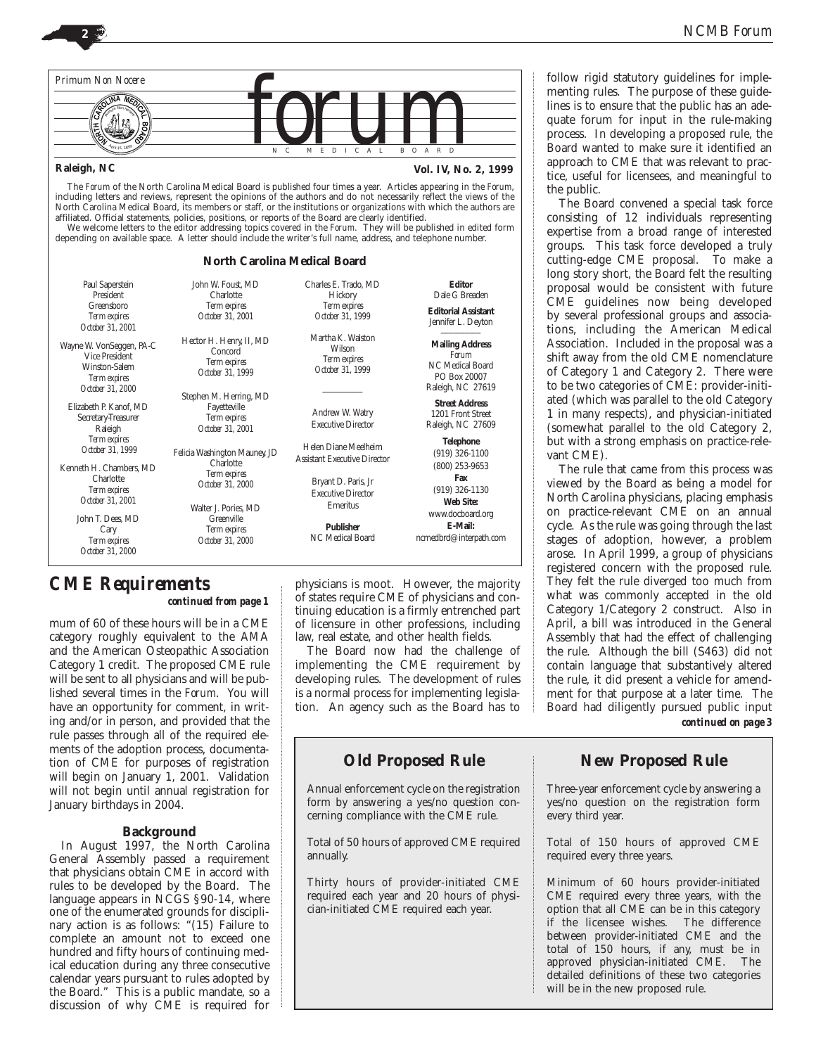

## **Raleigh, NC**

**Vol. IV, No. 2, 1999**

The *Forum* of the North Carolina Medical Board is published four times a year. Articles appearing in the *Forum*, including letters and reviews, represent the opinions of the authors and do not necessarily reflect the views of the North Carolina Medical Board, its members or staff, or the institutions or organizations with which the authors are affiliated. Official statements, policies, positions, or reports of the Board are clearly identified. We welcome letters to the editor addressing topics covered in the *Forum*. They will be published in edited form

depending on available space. A letter should include the writer's full name, address, and telephone number.

## **North Carolina Medical Board**

| Paul Saperstein<br>President<br>Greensboro<br><b>Term expires</b><br>October 31, 2001                                      | John W. Foust, MD<br>Charlotte<br>Term expires<br>October 31, 2001                                            | Charles E. Trado. MD<br>Hickory<br><b>Term expires</b><br>October 31, 1999                                                  | <b>Editor</b><br>Dale G Breaden<br><b>Editorial Assistant</b><br>Jennifer L. Deyton                   |
|----------------------------------------------------------------------------------------------------------------------------|---------------------------------------------------------------------------------------------------------------|-----------------------------------------------------------------------------------------------------------------------------|-------------------------------------------------------------------------------------------------------|
| Wayne W VonSeggen, PA-C<br><b>Vice President</b><br>Winston-Salem<br><b>Term expires</b><br>October 31, 2000               | Hector H. Henry, II, MD<br>Concord<br><b>Term expires</b><br>October 31, 1999                                 | Martha K. Walston<br>Wilson<br><b>Term expires</b><br>October 31, 1999                                                      | <b>Mailing Address</b><br>Forum<br>NC Medical Board<br>PO Box 20007<br>Raleigh, NC 27619              |
| Elizabeth P. Kanof. MD<br>Secretary-Treasurer<br>Raleigh                                                                   | Stephen M. Herring, MD<br>Fayetteville<br>Term expires<br>October 31, 2001                                    | Andrew W. Watry<br><b>Executive Director</b>                                                                                | <b>Street Address</b><br>1201 Front Street<br>Raleigh, NC 27609                                       |
| <b>Term expires</b><br>October 31, 1999<br>Kenneth H. Chambers. MD<br>Charlotte<br><b>Term expires</b><br>October 31, 2001 | Felicia Washington Mauney, JD<br>Charlotte<br><b>Term expires</b><br>October 31, 2000<br>Walter J. Pories. MD | Helen Diane Meelheim<br><b>Assistant Executive Director</b><br>Bryant D. Paris, Jr<br><b>Executive Director</b><br>Emeritus | <b>Telephone</b><br>$(919)$ 326-1100<br>(800) 253-9653<br>Fax<br>$(919)$ 326-1130<br><b>Web Site:</b> |
| John T. Dees. MD<br>Cary<br><b>Term expires</b><br>October 31, 2000                                                        | Greenville<br><b>Term expires</b><br>October 31, 2000                                                         | <b>Publisher</b><br>NC Medical Board                                                                                        | www.docboard.org<br>E-Mail:<br>ncmedbrd@interpath.com                                                 |

## *CME Requirements*

*continued from page 1*

mum of 60 of these hours will be in a CME category roughly equivalent to the AMA and the American Osteopathic Association Category 1 credit. The proposed CME rule will be sent to all physicians and will be published several times in the *Forum*. You will have an opportunity for comment, in writing and/or in person, and provided that the rule passes through all of the required elements of the adoption process, documentation of CME for purposes of registration will begin on January 1, 2001. Validation will not begin until annual registration for January birthdays in 2004.

## **Background**

In August 1997, the North Carolina General Assembly passed a requirement that physicians obtain CME in accord with rules to be developed by the Board. The language appears in NCGS §90-14, where one of the enumerated grounds for disciplinary action is as follows: "(15) Failure to complete an amount not to exceed one hundred and fifty hours of continuing medical education during any three consecutive calendar years pursuant to rules adopted by the Board." This is a public mandate, so a discussion of why CME is required for

physicians is moot. However, the majority of states require CME of physicians and continuing education is a firmly entrenched part of licensure in other professions, including law, real estate, and other health fields.

The Board now had the challenge of implementing the CME requirement by developing rules. The development of rules is a normal process for implementing legislation. An agency such as the Board has to

## **Old Proposed Rule**

Annual enforcement cycle on the registration form by answering a yes/no question concerning compliance with the CME rule.

Total of 50 hours of approved CME required annually.

Thirty hours of provider-initiated CME required each year and 20 hours of physician-initiated CME required each year.

follow rigid statutory guidelines for implementing rules. The purpose of these guidelines is to ensure that the public has an adequate forum for input in the rule-making process. In developing a proposed rule, the Board wanted to make sure it identified an approach to CME that was relevant to practice, useful for licensees, and meaningful to the public.

The Board convened a special task force consisting of 12 individuals representing expertise from a broad range of interested groups. This task force developed a truly cutting-edge CME proposal. To make a long story short, the Board felt the resulting proposal would be consistent with future CME guidelines now being developed by several professional groups and associations, including the American Medical Association. Included in the proposal was a shift away from the old CME nomenclature of Category 1 and Category 2. There were to be two categories of CME: provider-initiated (which was parallel to the old Category 1 in many respects), and physician-initiated (somewhat parallel to the old Category 2, but with a strong emphasis on practice-relevant CME).

The rule that came from this process was viewed by the Board as being a model for North Carolina physicians, placing emphasis on practice-relevant CME on an annual cycle. As the rule was going through the last stages of adoption, however, a problem arose. In April 1999, a group of physicians registered concern with the proposed rule. They felt the rule diverged too much from what was commonly accepted in the old Category 1/Category 2 construct. Also in April, a bill was introduced in the General Assembly that had the effect of challenging the rule. Although the bill (S463) did not contain language that substantively altered the rule, it did present a vehicle for amendment for that purpose at a later time. The Board had diligently pursued public input *continued on page 3*

## **New Proposed Rule**

Three-year enforcement cycle by answering a yes/no question on the registration form every third year.

Total of 150 hours of approved CME required every three years.

Minimum of 60 hours provider-initiated CME required every three years, with the option that all CME can be in this category<br>if the licensee wishes. The difference if the licensee wishes. between provider-initiated CME and the total of 150 hours, if any, must be in approved physician-initiated CME. The detailed definitions of these two categories will be in the new proposed rule.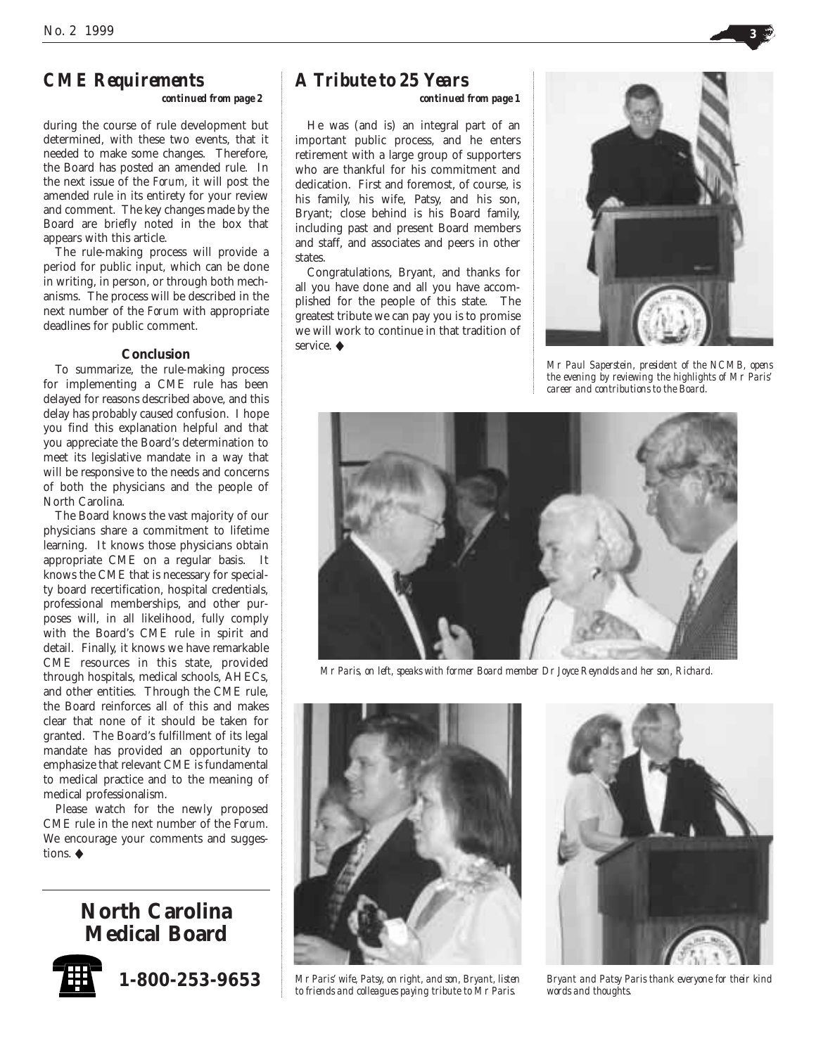## *CME Requirements*

## *continued from page 2*

during the course of rule development but determined, with these two events, that it needed to make some changes. Therefore, the Board has posted an amended rule. In the next issue of the *Forum*, it will post the amended rule in its entirety for your review and comment. The key changes made by the Board are briefly noted in the box that appears with this article.

The rule-making process will provide a period for public input, which can be done in writing, in person, or through both mechanisms. The process will be described in the next number of the *Forum* with appropriate deadlines for public comment.

## **Conclusion**

To summarize, the rule-making process for implementing a CME rule has been delayed for reasons described above, and this delay has probably caused confusion. I hope you find this explanation helpful and that you appreciate the Board's determination to meet its legislative mandate in a way that will be responsive to the needs and concerns of both the physicians and the people of North Carolina.

The Board knows the vast majority of our physicians share a commitment to lifetime learning. It knows those physicians obtain appropriate CME on a regular basis. It knows the CME that is necessary for specialty board recertification, hospital credentials, professional memberships, and other purposes will, in all likelihood, fully comply with the Board's CME rule in spirit and detail. Finally, it knows we have remarkable CME resources in this state, provided through hospitals, medical schools, AHECs, and other entities. Through the CME rule, the Board reinforces all of this and makes clear that none of it should be taken for granted. The Board's fulfillment of its legal mandate has provided an opportunity to emphasize that relevant CME is fundamental to medical practice and to the meaning of medical professionalism.

Please watch for the newly proposed CME rule in the next number of the *Forum*. We encourage your comments and suggestions. ◆

## **North Carolina Medical Board**



**1-800-253-9653**

## *A Tribute to 25 Years*

*continued from page 1*

He was (and is) an integral part of an important public process, and he enters retirement with a large group of supporters who are thankful for his commitment and dedication. First and foremost, of course, is his family, his wife, Patsy, and his son, Bryant; close behind is his Board family, including past and present Board members and staff, and associates and peers in other states.

Congratulations, Bryant, and thanks for all you have done and all you have accomplished for the people of this state. The greatest tribute we can pay you is to promise we will work to continue in that tradition of service. ◆



*Mr Paul Saperstein, president of the NCMB, opens the evening by reviewing the highlights of Mr Paris' career and contributions to the Board.*



*Mr Paris, on left, speaks with former Board member Dr Joyce Reynolds and her son, Richard.*



*Mr Paris' wife, Patsy, on right, and son, Bryant, listen to friends and colleagues paying tribute to Mr Paris.*



*Bryant and Patsy Paris thank everyone for their kind words and thoughts.*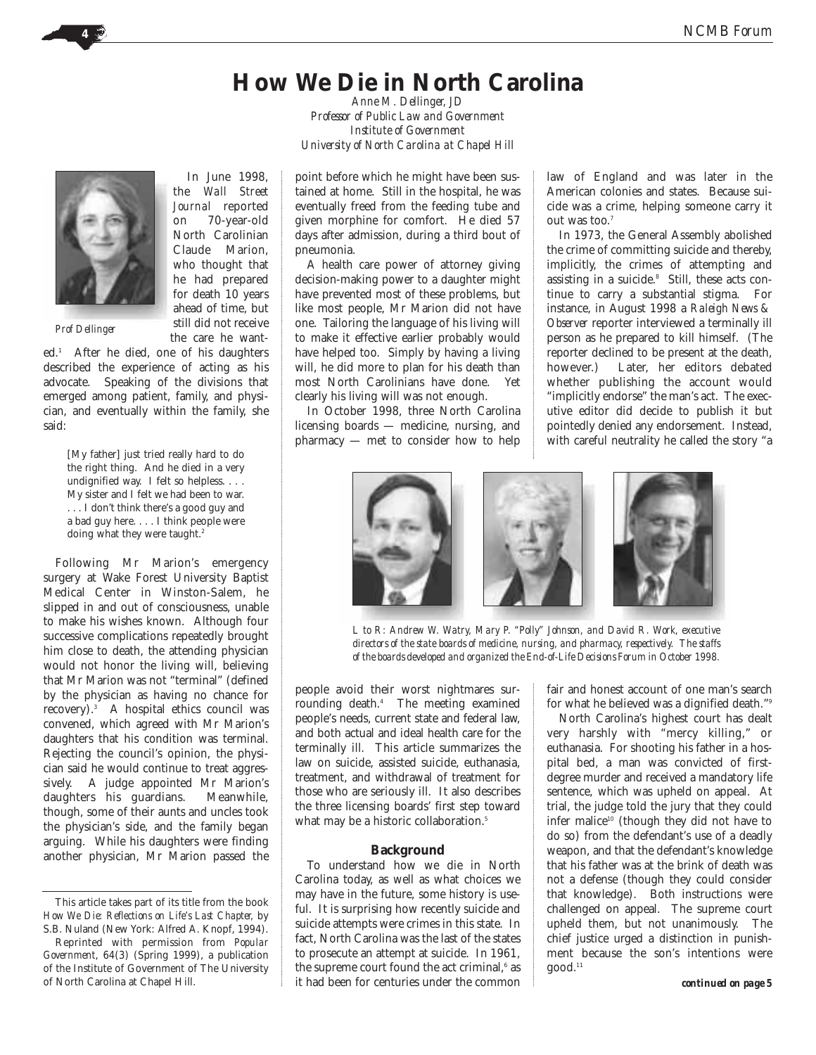# **How We Die in North Carolina**

*Anne M. Dellinger, JD Professor of Public Law and Government Institute of Government University of North Carolina at Chapel Hill*

point before which he might have been sustained at home. Still in the hospital, he was eventually freed from the feeding tube and given morphine for comfort. He died 57 days after admission, during a third bout of pneumonia.

A health care power of attorney giving decision-making power to a daughter might have prevented most of these problems, but like most people, Mr Marion did not have one. Tailoring the language of his living will to make it effective earlier probably would have helped too. Simply by having a living will, he did more to plan for his death than most North Carolinians have done. Yet clearly his living will was not enough.

In October 1998, three North Carolina licensing boards — medicine, nursing, and pharmacy — met to consider how to help

law of England and was later in the American colonies and states. Because suicide was a crime, helping someone carry it out was too. 7

In 1973, the General Assembly abolished the crime of committing suicide and thereby, implicitly, the crimes of attempting and assisting in a suicide.<sup>8</sup> Still, these acts continue to carry a substantial stigma. For instance, in August 1998 a *Raleigh News & Observer* reporter interviewed a terminally ill person as he prepared to kill himself. (The reporter declined to be present at the death, however.) Later, her editors debated whether publishing the account would "implicitly endorse" the man's act. The executive editor did decide to publish it but pointedly denied any endorsement. Instead, with careful neutrality he called the story "a

*L to R: Andrew W. Watry, Mary P. "Polly" Johnson, and David R. Work, executive directors of the state boards of medicine, nursing, and pharmacy, respectively. The staffs of the boards developed and organized the End-of-Life Decisions Forum in October 1998.*

people avoid their worst nightmares surrounding death.4 The meeting examined people's needs, current state and federal law, and both actual and ideal health care for the terminally ill. This article summarizes the law on suicide, assisted suicide, euthanasia, treatment, and withdrawal of treatment for those who are seriously ill. It also describes the three licensing boards' first step toward what may be a historic collaboration.<sup>5</sup>

## **Background**

To understand how we die in North Carolina today, as well as what choices we may have in the future, some history is useful. It is surprising how recently suicide and suicide attempts were crimes in this state. In fact, North Carolina was the last of the states to prosecute an attempt at suicide. In 1961, the supreme court found the act criminal,<sup>6</sup> as it had been for centuries under the common

fair and honest account of one man's search for what he believed was a dignified death."9

North Carolina's highest court has dealt very harshly with "mercy killing," or euthanasia. For shooting his father in a hospital bed, a man was convicted of firstdegree murder and received a mandatory life sentence, which was upheld on appeal. At trial, the judge told the jury that they could infer malice<sup>10</sup> (though they did not have to do so) from the defendant's use of a deadly weapon, and that the defendant's knowledge that his father was at the brink of death was not a defense (though they could consider that knowledge). Both instructions were challenged on appeal. The supreme court upheld them, but not unanimously. The chief justice urged a distinction in punishment because the son's intentions were  $good.<sup>11</sup>$ 





*Prof Dellinger*

the care he wanted.1 After he died, one of his daughters described the experience of acting as his advocate. Speaking of the divisions that emerged among patient, family, and physician, and eventually within the family, she said:

In June 1998, the *Wall Street Journal* reported on 70-year-old North Carolinian Claude Marion, who thought that he had prepared for death 10 years ahead of time, but still did not receive

[My father] just tried really hard to do the right thing. And he died in a very undignified way. I felt so helpless. . . . My sister and I felt we had been to war. . . . I don't think there's a good guy and a bad guy here. . . . I think people were doing what they were taught.<sup>2</sup>

Following Mr Marion's emergency surgery at Wake Forest University Baptist Medical Center in Winston-Salem, he slipped in and out of consciousness, unable to make his wishes known. Although four successive complications repeatedly brought him close to death, the attending physician would not honor the living will, believing that Mr Marion was not "terminal" (defined by the physician as having no chance for recovery).3 A hospital ethics council was convened, which agreed with Mr Marion's daughters that his condition was terminal. Rejecting the council's opinion, the physician said he would continue to treat aggressively. A judge appointed Mr Marion's daughters his guardians. Meanwhile, though, some of their aunts and uncles took the physician's side, and the family began arguing. While his daughters were finding another physician, Mr Marion passed the

This article takes part of its title from the book *How We Die: Reflections on Life's Last Chapter,* by S.B. Nuland (New York: Alfred A. Knopf, 1994).

Reprinted with permission from *Popular Government*, 64(3) (Spring 1999), a publication of the Institute of Government of The University of North Carolina at Chapel Hill.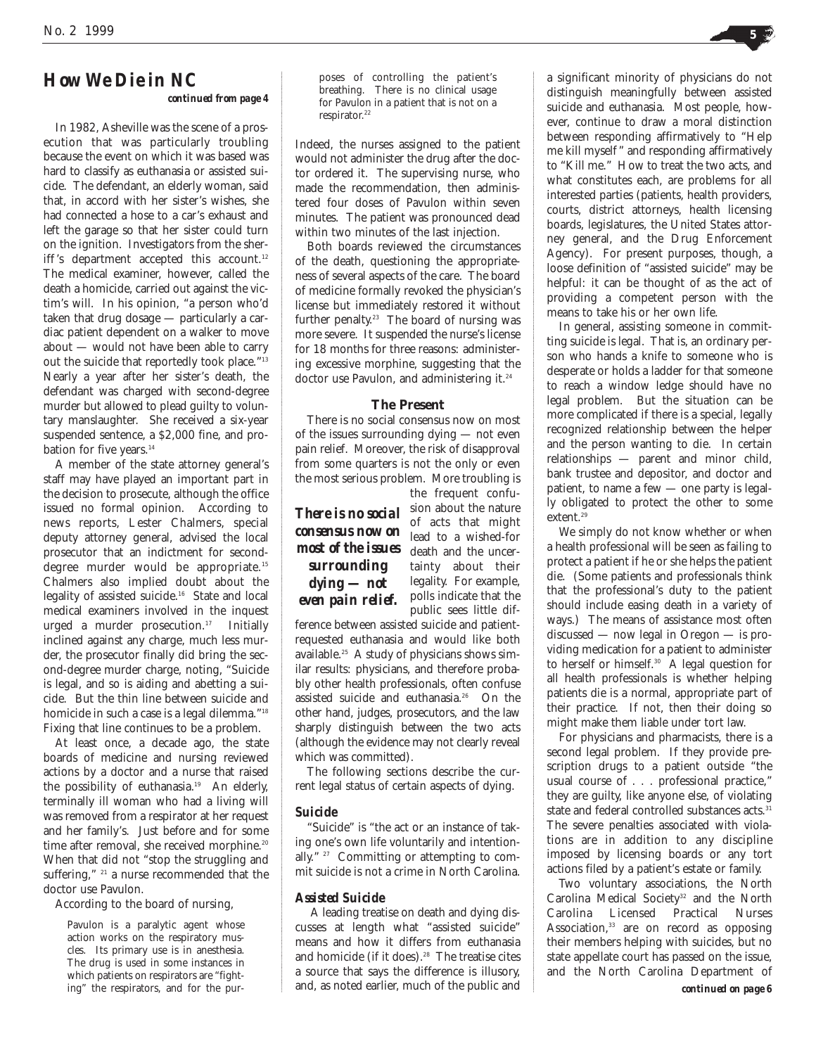*continued from page 4*

In 1982, Asheville was the scene of a prosecution that was particularly troubling because the event on which it was based was hard to classify as euthanasia or assisted suicide. The defendant, an elderly woman, said that, in accord with her sister's wishes, she had connected a hose to a car's exhaust and left the garage so that her sister could turn on the ignition. Investigators from the sheriff's department accepted this account. $12$ The medical examiner, however, called the death a homicide, carried out against the victim's will. In his opinion, "a person who'd taken that drug dosage — particularly a cardiac patient dependent on a walker to move about — would not have been able to carry out the suicide that reportedly took place."13 Nearly a year after her sister's death, the defendant was charged with second-degree murder but allowed to plead guilty to voluntary manslaughter. She received a six-year suspended sentence, a \$2,000 fine, and probation for five years.<sup>14</sup>

A member of the state attorney general's staff may have played an important part in the decision to prosecute, although the office issued no formal opinion. According to news reports, Lester Chalmers, special deputy attorney general, advised the local prosecutor that an indictment for seconddegree murder would be appropriate.<sup>15</sup> Chalmers also implied doubt about the legality of assisted suicide.16 State and local medical examiners involved in the inquest urged a murder prosecution.<sup>17</sup> Initially inclined against any charge, much less murder, the prosecutor finally did bring the second-degree murder charge, noting, "Suicide is legal, and so is aiding and abetting a suicide. But the thin line between suicide and homicide in such a case is a legal dilemma."<sup>18</sup> Fixing that line continues to be a problem.

At least once, a decade ago, the state boards of medicine and nursing reviewed actions by a doctor and a nurse that raised the possibility of euthanasia.<sup>19</sup> An elderly, terminally ill woman who had a living will was removed from a respirator at her request and her family's. Just before and for some time after removal, she received morphine.<sup>20</sup> When that did not "stop the struggling and suffering," <sup>21</sup> a nurse recommended that the doctor use Pavulon.

According to the board of nursing,

Pavulon is a paralytic agent whose action works on the respiratory muscles. Its primary use is in anesthesia. The drug is used in some instances in which patients on respirators are "fight-<br>ing" the respirators, and for the pur-

poses of controlling the patient's breathing. There is no clinical usage for Pavulon in a patient that is not on a respirator. 22

Indeed, the nurses assigned to the patient would not administer the drug after the doctor ordered it. The supervising nurse, who made the recommendation, then administered four doses of Pavulon within seven minutes. The patient was pronounced dead within two minutes of the last injection.

Both boards reviewed the circumstances of the death, questioning the appropriateness of several aspects of the care. The board of medicine formally revoked the physician's license but immediately restored it without further penalty. <sup>23</sup> The board of nursing was more severe. It suspended the nurse's license for 18 months for three reasons: administering excessive morphine, suggesting that the doctor use Pavulon, and administering it.<sup>24</sup>

## **The Present**

There is no social consensus now on most of the issues surrounding dying — not even pain relief. Moreover, the risk of disapproval from some quarters is not the only or even the most serious problem. More troubling is the frequent confu-

**There is no social** sion about the nature *consensus now on most of the issues surrounding dying — not even pain relief.*

of acts that might lead to a wished-for death and the uncertainty about their legality. For example, polls indicate that the public sees little dif-

ference between assisted suicide and patientrequested euthanasia and would like both available.25 A study of physicians shows similar results: physicians, and therefore probably other health professionals, often confuse assisted suicide and euthanasia.26 On the other hand, judges, prosecutors, and the law sharply distinguish between the two acts (although the evidence may not clearly reveal which was committed).

The following sections describe the current legal status of certain aspects of dying.

## *Suicide*

"Suicide" is "the act or an instance of taking one's own life voluntarily and intentionally."<sup>27</sup> Committing or attempting to commit suicide is not a crime in North Carolina.

## *Assisted Suicide*

A leading treatise on death and dying discusses at length what "assisted suicide" means and how it differs from euthanasia and homicide (if it does).<sup>28</sup> The treatise cites a source that says the difference is illusory, ing" the respirators, and for the pur- **and, as noted earlier, much of the public and** 

a significant minority of physicians do not distinguish meaningfully between assisted suicide and euthanasia. Most people, however, continue to draw a moral distinction between responding affirmatively to "Help me kill myself " and responding affirmatively to "Kill me." How to treat the two acts, and what constitutes each, are problems for all interested parties (patients, health providers, courts, district attorneys, health licensing boards, legislatures, the United States attorney general, and the Drug Enforcement Agency). For present purposes, though, a loose definition of "assisted suicide" may be helpful: it can be thought of as the act of providing a competent person with the means to take his or her own life.

In general, assisting someone in committing suicide is legal. That is, an ordinary person who hands a knife to someone who is desperate or holds a ladder for that someone to reach a window ledge should have no legal problem. But the situation can be more complicated if there is a special, legally recognized relationship between the helper and the person wanting to die. In certain relationships — parent and minor child, bank trustee and depositor, and doctor and patient, to name a few — one party is legally obligated to protect the other to some extent.<sup>29</sup>

We simply do not know whether or when a health professional will be seen as failing to protect a patient if he or she helps the patient die. (Some patients and professionals think that the professional's duty to the patient should include easing death in a variety of ways.) The means of assistance most often discussed — now legal in Oregon — is providing medication for a patient to administer to herself or himself.30 A legal question for all health professionals is whether helping patients die is a normal, appropriate part of their practice. If not, then their doing so might make them liable under tort law.

For physicians and pharmacists, there is a second legal problem. If they provide prescription drugs to a patient outside "the usual course of . . . professional practice," they are guilty, like anyone else, of violating state and federal controlled substances acts.<sup>31</sup> The severe penalties associated with violations are in addition to any discipline imposed by licensing boards or any tort actions filed by a patient's estate or family.

Two voluntary associations, the North Carolina Medical Society<sup>32</sup> and the North Carolina Licensed Practical Nurses Association,<sup>33</sup> are on record as opposing their members helping with suicides, but no state appellate court has passed on the issue, and the North Carolina Department of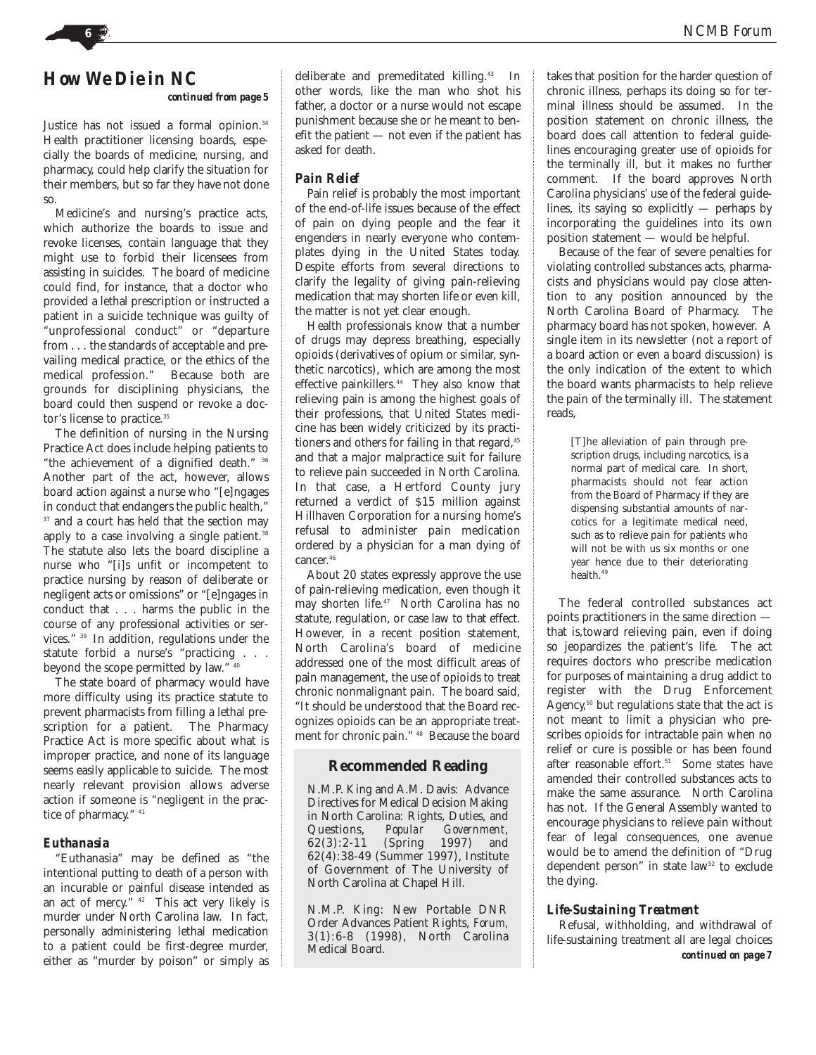*continued from page 5*

Justice has not issued a formal opinion.<sup>34</sup> Health practitioner licensing boards, especially the boards of medicine, nursing, and pharmacy, could help clarify the situation for their members, but so far they have not done so.

Medicine's and nursing's practice acts, which authorize the boards to issue and revoke licenses, contain language that they might use to forbid their licensees from assisting in suicides. The board of medicine could find, for instance, that a doctor who provided a lethal prescription or instructed a patient in a suicide technique was guilty of "unprofessional conduct" or "departure from . . . the standards of acceptable and prevailing medical practice, or the ethics of the medical profession." Because both are grounds for disciplining physicians, the board could then suspend or revoke a doctor's license to practice.<sup>35</sup>

The definition of nursing in the Nursing Practice Act does include helping patients to "the achievement of a dignified death." 36 Another part of the act, however, allows board action against a nurse who "[e]ngages in conduct that endangers the public health," <sup>37</sup> and a court has held that the section may apply to a case involving a single patient.<sup>38</sup> The statute also lets the board discipline a nurse who "[i]s unfit or incompetent to practice nursing by reason of deliberate or negligent acts or omissions" or "[e]ngages in conduct that . . . harms the public in the course of any professional activities or services." 39 In addition, regulations under the statute forbid a nurse's "practicing . . . beyond the scope permitted by law." 40

The state board of pharmacy would have more difficulty using its practice statute to prevent pharmacists from filling a lethal prescription for a patient. The Pharmacy Practice Act is more specific about what is improper practice, and none of its language seems easily applicable to suicide. The most nearly relevant provision allows adverse action if someone is "negligent in the practice of pharmacy." <sup>41</sup>

## *Euthanasia*

"Euthanasia" may be defined as "the intentional putting to death of a person with an incurable or painful disease intended as an act of mercy. $\frac{1}{x}$   $42$  This act very likely is murder under North Carolina law. In fact, personally administering lethal medication to a patient could be first-degree murder, either as "murder by poison" or simply as

deliberate and premeditated killing.43 In other words, like the man who shot his father, a doctor or a nurse would not escape punishment because she or he meant to benefit the patient — not even if the patient has asked for death.

## *Pain Relief*

Pain relief is probably the most important of the end-of-life issues because of the effect of pain on dying people and the fear it engenders in nearly everyone who contemplates dying in the United States today. Despite efforts from several directions to clarify the legality of giving pain-relieving medication that may shorten life or even kill, the matter is not yet clear enough.

Health professionals know that a number of drugs may depress breathing, especially opioids (derivatives of opium or similar, synthetic narcotics), which are among the most effective painkillers.<sup>44</sup> They also know that relieving pain is among the highest goals of their professions, that United States medicine has been widely criticized by its practitioners and others for failing in that regard,<sup>45</sup> and that a major malpractice suit for failure to relieve pain succeeded in North Carolina. In that case, a Hertford County jury returned a verdict of \$15 million against Hillhaven Corporation for a nursing home's refusal to administer pain medication ordered by a physician for a man dying of cancer. 46

About 20 states expressly approve the use of pain-relieving medication, even though it may shorten life.47 North Carolina has no statute, regulation, or case law to that effect. However, in a recent position statement, North Carolina's board of medicine addressed one of the most difficult areas of pain management, the use of opioids to treat chronic nonmalignant pain. The board said, "It should be understood that the Board recognizes opioids can be an appropriate treatment for chronic pain." 48 Because the board

## **Recommended Reading**

N.M.P. King and A.M. Davis: Advance Directives for Medical Decision Making in North Carolina: Rights, Duties, and<br>Questions, Popular Government, Questions, *Popular Government*, 62(3):2-11 (Spring 1997) and 62(4):38-49 (Summer 1997), Institute of Government of The University of North Carolina at Chapel Hill.

N.M.P. King: New Portable DNR Order Advances Patient Rights, *Forum*, 3(1):6-8 (1998), North Carolina Medical Board.

takes that position for the harder question of chronic illness, perhaps its doing so for terminal illness should be assumed. In the position statement on chronic illness, the board does call attention to federal guidelines encouraging greater use of opioids for the terminally ill, but it makes no further comment. If the board approves North Carolina physicians' use of the federal guidelines, its saying so explicitly — perhaps by incorporating the guidelines into its own position statement — would be helpful.

Because of the fear of severe penalties for violating controlled substances acts, pharmacists and physicians would pay close attention to any position announced by the North Carolina Board of Pharmacy. The pharmacy board has not spoken, however. A single item in its newsletter (not a report of a board action or even a board discussion) is the only indication of the extent to which the board wants pharmacists to help relieve the pain of the terminally ill. The statement reads,

[T]he alleviation of pain through prescription drugs, including narcotics, is a normal part of medical care. In short, pharmacists should not fear action from the Board of Pharmacy if they are dispensing substantial amounts of narcotics for a legitimate medical need, such as to relieve pain for patients who will not be with us six months or one year hence due to their deteriorating health.49

The federal controlled substances act points practitioners in the same direction that is,toward relieving pain, even if doing so jeopardizes the patient's life. The act requires doctors who prescribe medication for purposes of maintaining a drug addict to register with the Drug Enforcement Agency, <sup>50</sup> but regulations state that the act is not meant to limit a physician who prescribes opioids for intractable pain when no relief or cure is possible or has been found after reasonable effort.<sup>51</sup> Some states have amended their controlled substances acts to make the same assurance. North Carolina has not. If the General Assembly wanted to encourage physicians to relieve pain without fear of legal consequences, one avenue would be to amend the definition of "Drug dependent person" in state law<sup>52</sup> to exclude the dying.

## *Life-Sustaining Treatment*

Refusal, withholding, and withdrawal of life-sustaining treatment all are legal choices *continued on page 7*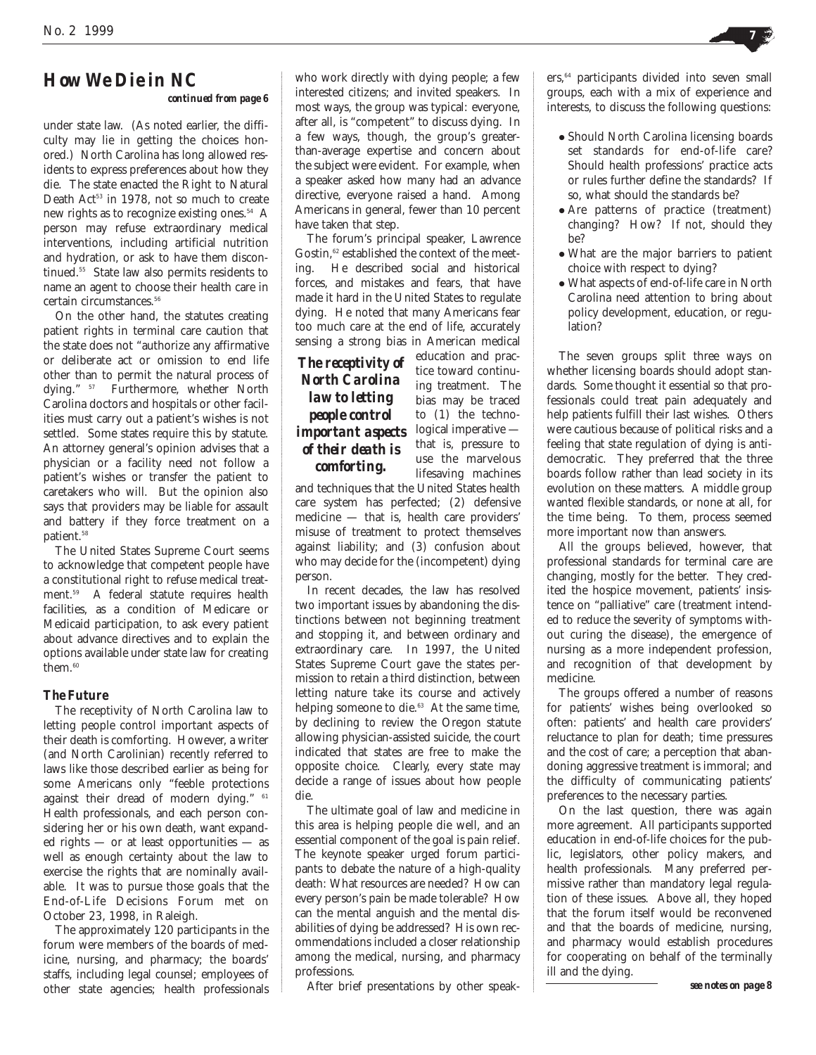## *continued from page 6*

under state law. (As noted earlier, the difficulty may lie in getting the choices honored.) North Carolina has long allowed residents to express preferences about how they die. The state enacted the Right to Natural Death Act<sup>53</sup> in 1978, not so much to create new rights as to recognize existing ones.54 A person may refuse extraordinary medical interventions, including artificial nutrition and hydration, or ask to have them discontinued.55 State law also permits residents to name an agent to choose their health care in certain circumstances.<sup>56</sup>

On the other hand, the statutes creating patient rights in terminal care caution that the state does not "authorize any affirmative or deliberate act or omission to end life other than to permit the natural process of dying." 57 Furthermore, whether North Carolina doctors and hospitals or other facilities must carry out a patient's wishes is not settled. Some states require this by statute. An attorney general's opinion advises that a physician or a facility need not follow a patient's wishes or transfer the patient to caretakers who will. But the opinion also says that providers may be liable for assault and battery if they force treatment on a patient.<sup>58</sup>

The United States Supreme Court seems to acknowledge that competent people have a constitutional right to refuse medical treatment.59 A federal statute requires health facilities, as a condition of Medicare or Medicaid participation, to ask every patient about advance directives and to explain the options available under state law for creating them.<sup>60</sup>

## *The Future*

The receptivity of North Carolina law to letting people control important aspects of their death is comforting. However, a writer (and North Carolinian) recently referred to laws like those described earlier as being for some Americans only "feeble protections against their dread of modern dying." 61 Health professionals, and each person considering her or his own death, want expanded rights — or at least opportunities — as well as enough certainty about the law to exercise the rights that are nominally available. It was to pursue those goals that the End-of-Life Decisions Forum met on October 23, 1998, in Raleigh.

The approximately 120 participants in the forum were members of the boards of medicine, nursing, and pharmacy; the boards' staffs, including legal counsel; employees of other state agencies; health professionals

who work directly with dying people; a few interested citizens; and invited speakers. In most ways, the group was typical: everyone, after all, is "competent" to discuss dying. In a few ways, though, the group's greaterthan-average expertise and concern about the subject were evident. For example, when a speaker asked how many had an advance directive, everyone raised a hand. Among Americans in general, fewer than 10 percent have taken that step.

The forum's principal speaker, Lawrence Gostin.<sup>62</sup> established the context of the meeting. He described social and historical forces, and mistakes and fears, that have made it hard in the United States to regulate dying. He noted that many Americans fear too much care at the end of life, accurately sensing a strong bias in American medical

*The receptivity of North Carolina law to letting people control important aspects of their death is comforting.*

education and practice toward continuing treatment. The bias may be traced to (1) the technological imperative that is, pressure to use the marvelous lifesaving machines

and techniques that the United States health care system has perfected; (2) defensive medicine — that is, health care providers' misuse of treatment to protect themselves against liability; and (3) confusion about who may decide for the (incompetent) dying person.

In recent decades, the law has resolved two important issues by abandoning the distinctions between not beginning treatment and stopping it, and between ordinary and extraordinary care. In 1997, the United States Supreme Court gave the states permission to retain a third distinction, between letting nature take its course and actively helping someone to die.<sup>63</sup> At the same time, by declining to review the Oregon statute allowing physician-assisted suicide, the court indicated that states are free to make the opposite choice. Clearly, every state may decide a range of issues about how people die.

The ultimate goal of law and medicine in this area is helping people die well, and an essential component of the goal is pain relief. The keynote speaker urged forum participants to debate the nature of a high-quality death: What resources are needed? How can every person's pain be made tolerable? How can the mental anguish and the mental disabilities of dying be addressed? His own recommendations included a closer relationship among the medical, nursing, and pharmacy professions.

After brief presentations by other speak-

ers,<sup>64</sup> participants divided into seven small groups, each with a mix of experience and interests, to discuss the following questions:

- Should North Carolina licensing boards set standards for end-of-life care? Should health professions' practice acts or rules further define the standards? If so, what should the standards be?
- Are patterns of practice (treatment) changing? How? If not, should they be?
- What are the major barriers to patient choice with respect to dying?
- What aspects of end-of-life care in North Carolina need attention to bring about policy development, education, or regulation?

The seven groups split three ways on whether licensing boards should adopt standards. Some thought it essential so that professionals could treat pain adequately and help patients fulfill their last wishes. Others were cautious because of political risks and a feeling that state regulation of dying is antidemocratic. They preferred that the three boards follow rather than lead society in its evolution on these matters. A middle group wanted flexible standards, or none at all, for the time being. To them, process seemed more important now than answers.

All the groups believed, however, that professional standards for terminal care are changing, mostly for the better. They credited the hospice movement, patients' insistence on "palliative" care (treatment intended to reduce the severity of symptoms without curing the disease), the emergence of nursing as a more independent profession, and recognition of that development by medicine.

The groups offered a number of reasons for patients' wishes being overlooked so often: patients' and health care providers' reluctance to plan for death; time pressures and the cost of care; a perception that abandoning aggressive treatment is immoral; and the difficulty of communicating patients' preferences to the necessary parties.

On the last question, there was again more agreement. All participants supported education in end-of-life choices for the public, legislators, other policy makers, and health professionals. Many preferred permissive rather than mandatory legal regulation of these issues. Above all, they hoped that the forum itself would be reconvened and that the boards of medicine, nursing, and pharmacy would establish procedures for cooperating on behalf of the terminally ill and the dying.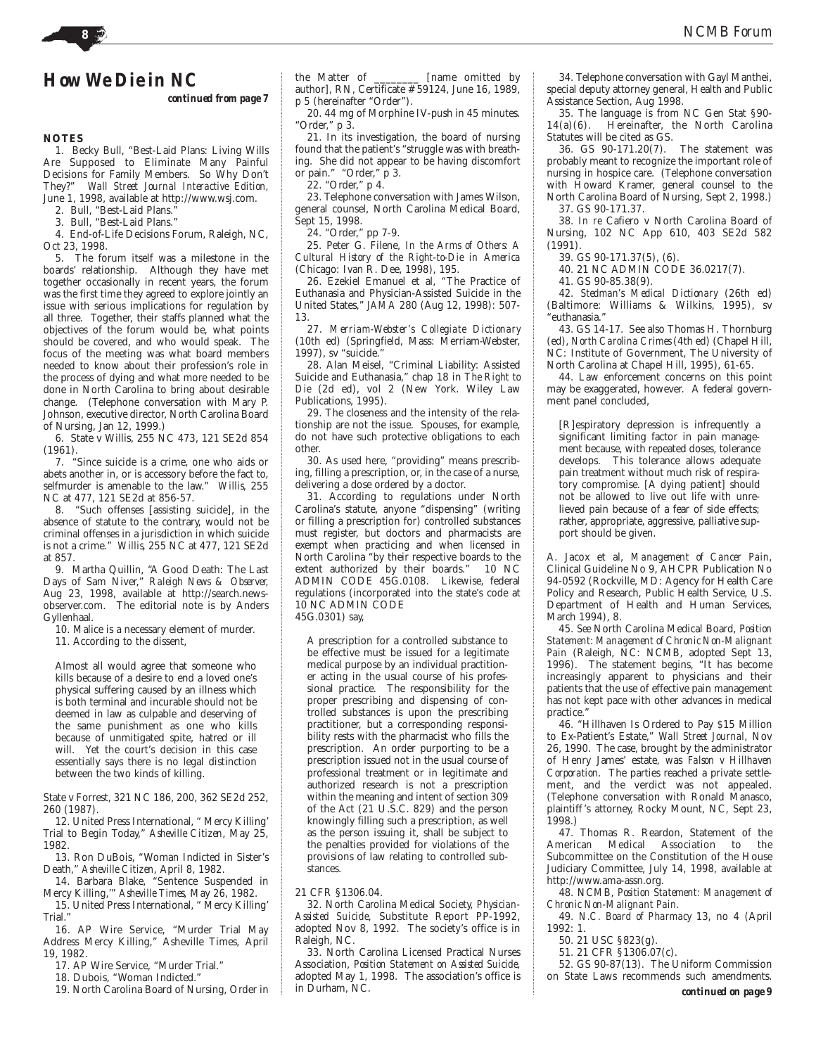*continued from page 7*

## **NOTES**

1. Becky Bull, "Best-Laid Plans: Living Wills Are Supposed to Eliminate Many Painful Decisions for Family Members. So Why Don't They?" *Wall Street Journal Interactive Edition,* June 1, 1998, available at http://www.wsj.com.

2. Bull, "Best-Laid Plans."

3. Bull, "Best-Laid Plans."

4. End-of-Life Decisions Forum, Raleigh, NC, Oct 23, 1998.

5. The forum itself was a milestone in the boards' relationship. Although they have met together occasionally in recent years, the forum was the first time they agreed to explore jointly an issue with serious implications for regulation by all three. Together, their staffs planned what the objectives of the forum would be, what points should be covered, and who would speak. The focus of the meeting was what board members needed to know about their profession's role in the process of dying and what more needed to be done in North Carolina to bring about desirable change. (Telephone conversation with Mary P. Johnson, executive director, North Carolina Board of Nursing, Jan 12, 1999.)

6. State v Willis, 255 NC 473, 121 SE2d 854 (1961).

7. "Since suicide is a crime, one who aids or abets another in, or is accessory before the fact to, selfmurder is amenable to the law." *Willis*, 255 NC at 477, 121 SE2d at 856-57.

8. "Such offenses [assisting suicide], in the absence of statute to the contrary, would not be criminal offenses in a jurisdiction in which suicide is not a crime." *Willis*, 255 NC at 477, 121 SE2d at 857.

9. Martha Quillin, "A Good Death: The Last Days of Sam Niver," *Raleigh News & Observer,* Aug 23, 1998, available at http://search.newsobserver.com. The editorial note is by Anders Gyllenhaal.

10. Malice is a necessary element of murder.

11. According to the dissent,

Almost all would agree that someone who kills because of a desire to end a loved one's physical suffering caused by an illness which is both terminal and incurable should not be deemed in law as culpable and deserving of the same punishment as one who kills because of unmitigated spite, hatred or ill will. Yet the court's decision in this case essentially says there is no legal distinction between the two kinds of killing.

State v Forrest, 321 NC 186, 200, 362 SE2d 252, 260 (1987).

12. United Press International, " Mercy Killing' Trial to Begin Today," *Asheville Citizen*, May 25, 1982.

13. Ron DuBois, "Woman Indicted in Sister's Death," *Asheville Citizen*, April 8, 1982.

14. Barbara Blake, "Sentence Suspended in Mercy Killing,'" *Asheville Times*, May 26, 1982.

15. United Press International, " Mercy Killing' Trial."

16. AP Wire Service, "Murder Trial May Address Mercy Killing," Asheville Times, April 19, 1982.

17. AP Wire Service, "Murder Trial."

18. Dubois, "Woman Indicted."

19. North Carolina Board of Nursing, Order in

the Matter of \_\_\_\_\_\_\_\_ [name omitted by author], RN, Certificate #59124, June 16, 1989, p 5 (hereinafter "Order").

20. 44 mg of Morphine IV-push in 45 minutes. "Order," p 3.

21. In its investigation, the board of nursing found that the patient's "struggle was with breathing. She did not appear to be having discomfort or pain." "Order," p 3.

22. "Order," p 4.

23. Telephone conversation with James Wilson, general counsel, North Carolina Medical Board, Sept 15, 1998.

24. "Order," pp 7-9.

25. Peter G. Filene, *In the Arms of Others: A Cultural History of the Right-to-Die in America* (Chicago: Ivan R. Dee, 1998), 195.

26. Ezekiel Emanuel et al, "The Practice of Euthanasia and Physician-Assisted Suicide in the United States," *JAMA* 280 (Aug 12, 1998): 507- 13.

27. *Merriam-Webster's Collegiate Dictionary* (10th ed) (Springfield, Mass: Merriam-Webster, 1997), sv "suicide."

28. Alan Meisel, "Criminal Liability: Assisted Suicide and Euthanasia," chap 18 in *The Right to Die* (2d ed), vol 2 (New York. Wiley Law Publications, 1995).

29. The closeness and the intensity of the relationship are not the issue. Spouses, for example, do not have such protective obligations to each other.

30. As used here, "providing" means prescribing, filling a prescription, or, in the case of a nurse, delivering a dose ordered by a doctor.

31. According to regulations under North Carolina's statute, anyone "dispensing" (writing or filling a prescription for) controlled substances must register, but doctors and pharmacists are exempt when practicing and when licensed in North Carolina "by their respective boards to the extent authorized by their boards " 10 NC extent authorized by their boards." ADMIN CODE 45G.0108. Likewise, federal regulations (incorporated into the state's code at 10 NC ADMIN CODE

45G.0301) say,

A prescription for a controlled substance to be effective must be issued for a legitimate medical purpose by an individual practitioner acting in the usual course of his professional practice. The responsibility for the proper prescribing and dispensing of controlled substances is upon the prescribing practitioner, but a corresponding responsibility rests with the pharmacist who fills the prescription. An order purporting to be a prescription issued not in the usual course of professional treatment or in legitimate and authorized research is not a prescription within the meaning and intent of section 309 of the Act (21 U.S.C. 829) and the person knowingly filling such a prescription, as well as the person issuing it, shall be subject to the penalties provided for violations of the provisions of law relating to controlled substances.

21 CFR §1306.04.

32. North Carolina Medical Society, *Physician-Assisted Suicide*, Substitute Report PP-1992, adopted Nov 8, 1992. The society's office is in Raleigh, NC.

33. North Carolina Licensed Practical Nurses Association, *Position Statement on Assisted Suicide*, adopted May 1, 1998. The association's office is in Durham, NC.

34. Telephone conversation with Gayl Manthei, special deputy attorney general, Health and Public Assistance Section, Aug 1998.

35. The language is from NC Gen Stat §90- 14(a)(6). Hereinafter, the North Carolina Statutes will be cited as GS.

36. GS 90-171.20(7). The statement was probably meant to recognize the important role of nursing in hospice care. (Telephone conversation with Howard Kramer, general counsel to the North Carolina Board of Nursing, Sept 2, 1998.) 37. GS 90-171.37.

38. *In re* Cafiero v North Carolina Board of Nursing, 102 NC App 610, 403 SE2d 582 (1991).

39. GS 90-171.37(5), (6).

40. 21 NC ADMIN CODE 36.0217(7).

41. GS 90-85.38(9).

42. *Stedman's Medical Dictionary* (26th ed) (Baltimore: Williams & Wilkins, 1995), sv 'euthanasia.'

43. GS 14-17. See also Thomas H. Thornburg (ed), *North Carolina Crimes* (4th ed) (Chapel Hill, NC: Institute of Government, The University of North Carolina at Chapel Hill, 1995), 61-65.

44. Law enforcement concerns on this point may be exaggerated, however. A federal government panel concluded,

[R]espiratory depression is infrequently a significant limiting factor in pain management because, with repeated doses, tolerance develops. This tolerance allows adequate pain treatment without much risk of respiratory compromise. [A dying patient] should not be allowed to live out life with unrelieved pain because of a fear of side effects; rather, appropriate, aggressive, palliative support should be given.

A. Jacox et al, *Management of Cancer Pain*, Clinical Guideline No 9, AHCPR Publication No 94-0592 (Rockville, MD: Agency for Health Care Policy and Research, Public Health Service, U.S. Department of Health and Human Services, March 1994), 8.

45. *See* North Carolina Medical Board, *Position Statement: Management of Chronic Non-Malignant* Pain (Raleigh, NC: NCMB, adopted Sept 13, 1996). The statement begins, "It has become increasingly apparent to physicians and their patients that the use of effective pain management has not kept pace with other advances in medical practice."

46. "Hillhaven Is Ordered to Pay \$15 Million to Ex-Patient's Estate," *Wall Street Journal*, Nov 26, 1990. The case, brought by the administrator of Henry James' estate, was *Falson v Hillhaven Corporation*. The parties reached a private settlement, and the verdict was not appealed. (Telephone conversation with Ronald Manasco, plaintiff 's attorney, Rocky Mount, NC, Sept 23, 1998.)

47. Thomas R. Reardon, Statement of the American Medical Association to the Subcommittee on the Constitution of the House Judiciary Committee, July 14, 1998, available at http://www.ama-assn.org.

48. NCMB, *Position Statement: Management of Chronic Non-Malignant Pain.*

49. *N.C. Board of Pharmacy* 13, no 4 (April 1992: 1.

50. 21 USC §823(g).

51. 21 CFR §1306.07(c).

52. GS 90-87(13). The Uniform Commission on State Laws recommends such amendments.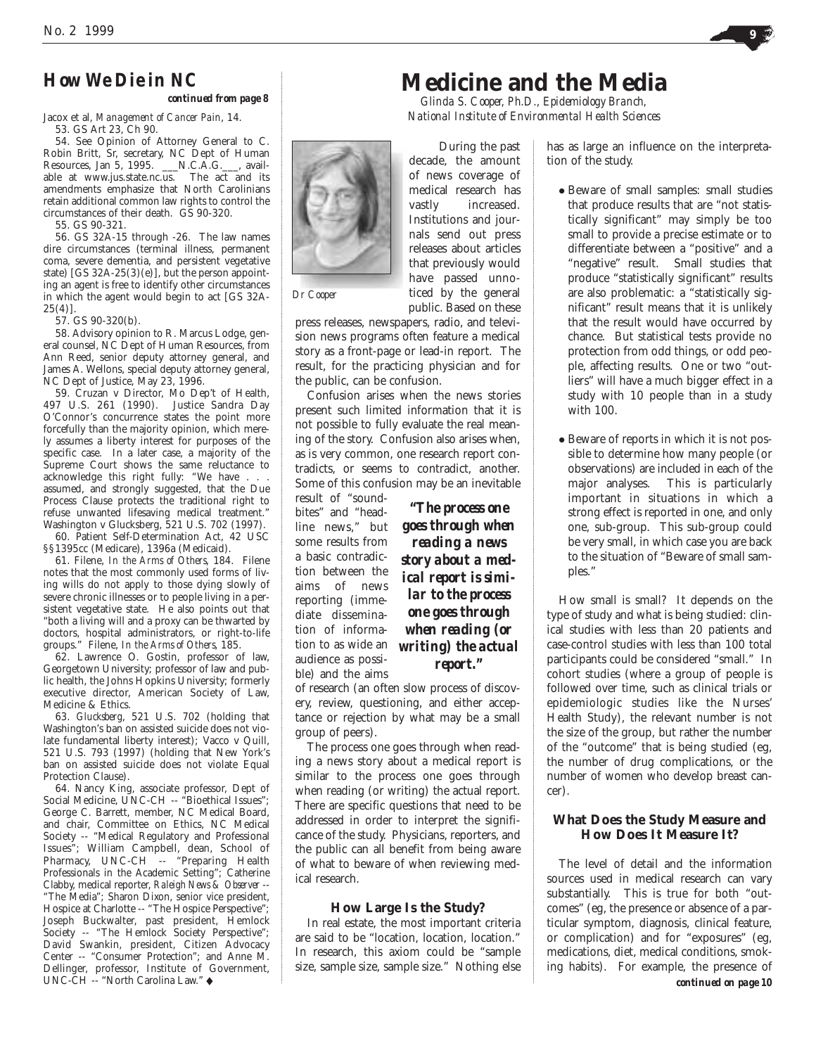*continued from page 8*

Jacox et al, *Management of Cancer Pain*, 14.

53. GS Art 23, Ch 90.

54. See Opinion of Attorney General to C. Robin Britt, Sr, secretary, NC Dept of Human Resources, Jan 5, 1995. \_\_\_N.C.A.G.\_\_\_, available at www.jus.state.nc.us. The act and its amendments emphasize that North Carolinians retain additional common law rights to control the circumstances of their death. GS 90-320.

55. GS 90-321.

56. GS 32A-15 through -26. The law names dire circumstances (terminal illness, permanent coma, severe dementia, and persistent vegetative state)  $[GS 32A-25(3)(e)]$ , but the person appointing an agent is free to identify other circumstances in which the agent would begin to act [GS 32A- $25(4)$ ].

57. GS 90-320(b).

58. Advisory opinion to R. Marcus Lodge, general counsel, NC Dept of Human Resources, from Ann Reed, senior deputy attorney general, and James A. Wellons, special deputy attorney general, NC Dept of Justice, May 23, 1996.

59. Cruzan v Director, Mo Dep't of Health, 497 U.S. 261 (1990). Justice Sandra Day O'Connor's concurrence states the point more forcefully than the majority opinion, which merely assumes a liberty interest for purposes of the specific case. In a later case, a majority of the Supreme Court shows the same reluctance to acknowledge this right fully: "We have . assumed, and strongly suggested, that the Due Process Clause protects the traditional right to refuse unwanted lifesaving medical treatment." Washington v Glucksberg, 521 U.S. 702 (1997).

60. Patient Self-Determination Act, 42 USC §§1395cc (Medicare), 1396a (Medicaid).

61. Filene, *In the Arms of Others*, 184. Filene notes that the most commonly used forms of living wills do not apply to those dying slowly of severe chronic illnesses or to people living in a persistent vegetative state. He also points out that "both a living will and a proxy can be thwarted by doctors, hospital administrators, or right-to-life groups." Filene, *In the Arms of Others*, 185.

62. Lawrence O. Gostin, professor of law, Georgetown University; professor of law and public health, the Johns Hopkins University; formerly executive director, American Society of Law, Medicine & Ethics.

63. *Glucksberg*, 521 U.S. 702 (holding that Washington's ban on assisted suicide does not violate fundamental liberty interest); Vacco v Quill, 521 U.S. 793 (1997) (holding that New York's ban on assisted suicide does not violate Equal Protection Clause).

64. Nancy King, associate professor, Dept of Social Medicine, UNC-CH -- "Bioethical Issues"; George C. Barrett, member, NC Medical Board, and chair, Committee on Ethics, NC Medical Society -- "Medical Regulatory and Professional Issues"; William Campbell, dean, School of Pharmacy, UNC-CH -- "Preparing Health Professionals in the Academic Setting"; Catherine Clabby, medical reporter, *Raleigh News & Observer* -- "The Media"; Sharon Dixon, senior vice president, Hospice at Charlotte -- "The Hospice Perspective"; Joseph Buckwalter, past president, Hemlock Society -- "The Hemlock Society Perspective"; David Swankin, president, Citizen Advocacy Center -- "Consumer Protection"; and Anne M. Dellinger, professor, Institute of Government, UNC-CH -- "North Carolina Law." ◆

# **Medicine and the Media**

*Glinda S. Cooper, Ph.D., Epidemiology Branch, National Institute of Environmental Health Sciences*

During the past decade, the amount of news coverage of medical research has vastly increased. Institutions and journals send out press releases about articles that previously would have passed unnoticed by the general public. Based on these

*Dr Cooper*

press releases, newspapers, radio, and television news programs often feature a medical story as a front-page or lead-in report. The result, for the practicing physician and for the public, can be confusion.

Confusion arises when the news stories present such limited information that it is not possible to fully evaluate the real meaning of the story. Confusion also arises when, as is very common, one research report contradicts, or seems to contradict, another. Some of this confusion may be an inevitable

result of "soundbites" and "headline news," but some results from a basic contradiction between the aims of news reporting (immediate dissemination of information to as wide an audience as possible) and the aims

*"The process one goes through when reading a news story about a medical report is similar to the process one goes through when reading (or writing) the actual report."*

of research (an often slow process of discovery, review, questioning, and either acceptance or rejection by what may be a small group of peers).

The process one goes through when reading a news story about a medical report is similar to the process one goes through when reading (or writing) the actual report. There are specific questions that need to be addressed in order to interpret the significance of the study. Physicians, reporters, and the public can all benefit from being aware of what to beware of when reviewing medical research.

## **How Large Is the Study?**

In real estate, the most important criteria are said to be "location, location, location." In research, this axiom could be "sample size, sample size, sample size." Nothing else

has as large an influence on the interpretation of the study.

- Beware of small samples: small studies that produce results that are "not statistically significant" may simply be too small to provide a precise estimate or to differentiate between a "positive" and a "negative" result. Small studies that produce "statistically significant" results are also problematic: a "statistically significant" result means that it is unlikely that the result would have occurred by chance. But statistical tests provide no protection from odd things, or odd people, affecting results. One or two "outliers" will have a much bigger effect in a study with 10 people than in a study with 100.
- Beware of reports in which it is not possible to determine how many people (or observations) are included in each of the major analyses. This is particularly important in situations in which a strong effect is reported in one, and only one, sub-group. This sub-group could be very small, in which case you are back to the situation of "Beware of small samples."

How small is small? It depends on the type of study and what is being studied: clinical studies with less than 20 patients and case-control studies with less than 100 total participants could be considered "small." In cohort studies (where a group of people is followed over time, such as clinical trials or epidemiologic studies like the Nurses' Health Study), the relevant number is not the size of the group, but rather the number of the "outcome" that is being studied (eg, the number of drug complications, or the number of women who develop breast cancer).

## **What Does the Study Measure and How Does It Measure It?**

*continued on page 10* The level of detail and the information sources used in medical research can vary substantially. This is true for both "outcomes" (eg, the presence or absence of a particular symptom, diagnosis, clinical feature, or complication) and for "exposures" (eg, medications, diet, medical conditions, smoking habits). For example, the presence of



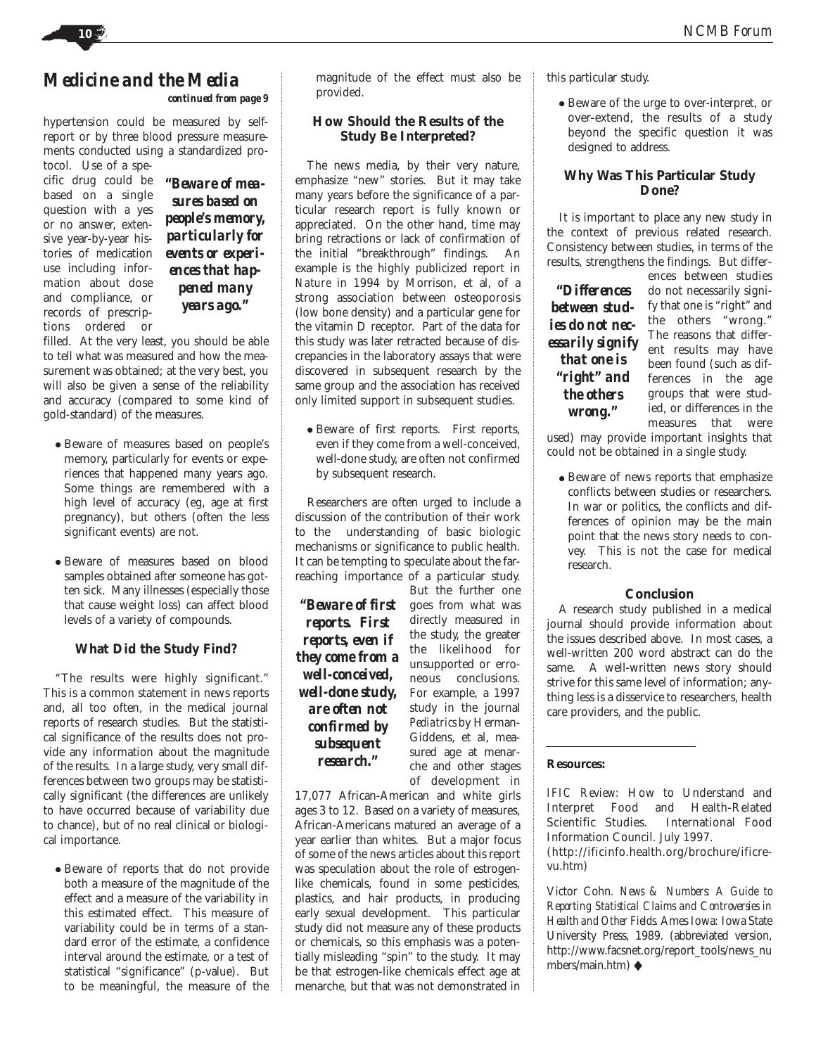## *Medicine and the Media continued from page 9*

hypertension could be measured by selfreport or by three blood pressure measurements conducted using a standardized pro-

tocol. Use of a specific drug could be based on a single question with a yes or no answer, extensive year-by-year histories of medication use including information about dose and compliance, or records of prescriptions ordered or

*"Beware of measures based on people's memory, particularly for events or experiences that happened many years ago."*

filled. At the very least, you should be able to tell what was measured and how the measurement was obtained; at the very best, you will also be given a sense of the reliability and accuracy (compared to some kind of gold-standard) of the measures.

- Beware of measures based on people's memory, particularly for events or experiences that happened many years ago. Some things are remembered with a high level of accuracy (eg, age at first pregnancy), but others (often the less significant events) are not.
- Beware of measures based on blood samples obtained *after* someone has gotten sick. Many illnesses (especially those that cause weight loss) can affect blood levels of a variety of compounds.

## **What Did the Study Find?**

"The results were highly significant." This is a common statement in news reports and, all too often, in the medical journal reports of research studies. But the statistical significance of the results does not provide any information about the magnitude of the results. In a large study, very small differences between two groups may be statistically significant (the differences are unlikely to have occurred because of variability due to chance), but of no real clinical or biological importance.

• Beware of reports that do not provide both a measure of the magnitude of the effect and a measure of the variability in this estimated effect. This measure of variability could be in terms of a standard error of the estimate, a confidence interval around the estimate, or a test of statistical "significance" (p-value). But to be meaningful, the measure of the

magnitude of the effect must also be provided.

## **How Should the Results of the Study Be Interpreted?**

The news media, by their very nature, emphasize "new" stories. But it may take many years before the significance of a particular research report is fully known or appreciated. On the other hand, time may bring retractions or lack of confirmation of the initial "breakthrough" findings. An example is the highly publicized report in *Nature* in 1994 by Morrison, et al, of a strong association between osteoporosis (low bone density) and a particular gene for the vitamin D receptor. Part of the data for this study was later retracted because of discrepancies in the laboratory assays that were discovered in subsequent research by the same group and the association has received only limited support in subsequent studies.

● Beware of first reports. First reports, even if they come from a well-conceived, well-done study, are often not confirmed by subsequent research.

Researchers are often urged to include a discussion of the contribution of their work to the understanding of basic biologic mechanisms or significance to public health. It can be tempting to speculate about the farreaching importance of a particular study.

*"Beware of first reports. First reports, even if they come from a well-conceived, well-done study, are often not confirmed by subsequent research."*

But the further one goes from what was directly measured in the study, the greater the likelihood for unsupported or erroneous conclusions. For example, a 1997 study in the journal *Pediatrics* by Herman-Giddens, et al, measured age at menarche and other stages of development in

17,077 African-American and white girls ages 3 to 12. Based on a variety of measures, African-Americans matured an average of a year earlier than whites. But a major focus of some of the news articles about this report was speculation about the role of estrogenlike chemicals, found in some pesticides, plastics, and hair products, in producing early sexual development. This particular study did not measure any of these products or chemicals, so this emphasis was a potentially misleading "spin" to the study. It may be that estrogen-like chemicals effect age at menarche, but that was not demonstrated in this particular study.

● Beware of the urge to over-interpret, or over-extend, the results of a study beyond the specific question it was designed to address.

## **Why Was This Particular Study Done?**

It is important to place any new study in the context of previous related research. Consistency between studies, in terms of the results, strengthens the findings. But differ-

*"Differences between studies do not necessarily signify that one is "right" and the others wrong."*

ences between studies do not necessarily signify that one is "right" and the others "wrong." The reasons that different results may have been found (such as differences in the age groups that were studied, or differences in the measures that were

used) may provide important insights that could not be obtained in a single study.

● Beware of news reports that emphasize conflicts between studies or researchers. In war or politics, the conflicts and differences of opinion may be the main point that the news story needs to convey. This is not the case for medical research.

## **Conclusion**

A research study published in a medical journal should provide information about the issues described above. In most cases, a well-written 200 word abstract can do the same. A well-written news story should strive for this same level of information; anything less is a disservice to researchers, health care providers, and the public.

## **Resources:**

*IFIC Review*: How to Understand and Interpret Food and Health-Related Scientific Studies. International Food Information Council. July 1997. (http://ificinfo.health.org/brochure/ificrevu.htm)

Victor Cohn. *News & Numbers: A Guide to Reporting Statistical Claims and Controversies in Health and Other Fields*. Ames Iowa: Iowa State University Press, 1989. (abbreviated version, http://www.facsnet.org/report\_tools/news\_nu mbers/main.htm) ◆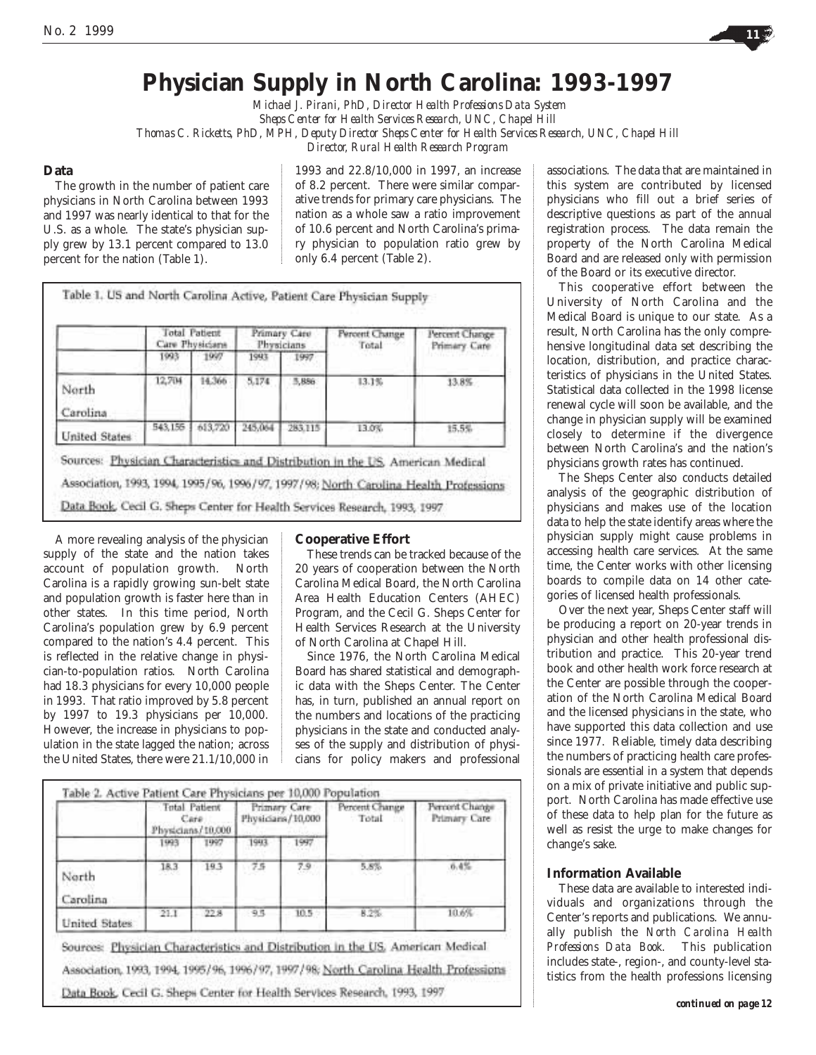

# **Physician Supply in North Carolina: 1993-1997**

*Michael J. Pirani, PhD, Director Health Professions Data System Sheps Center for Health Services Research, UNC, Chapel Hill Thomas C. Ricketts, PhD, MPH, Deputy Director Sheps Center for Health Services Research, UNC, Chapel Hill Director, Rural Health Research Program* 

## **Data**

The growth in the number of patient care physicians in North Carolina between 1993 and 1997 was nearly identical to that for the U.S. as a whole. The state's physician supply grew by 13.1 percent compared to 13.0 percent for the nation (Table 1).

1993 and 22.8/10,000 in 1997, an increase of 8.2 percent. There were similar comparative trends for primary care physicians. The nation as a whole saw a ratio improvement of 10.6 percent and North Carolina's primary physician to population ratio grew by only 6.4 percent (Table 2).

|                   | <b>Total Patient</b><br>Care Physicians |         | Primary Care<br>Physicians |         | Percent Change<br>Total | Percent Change<br>Primary Care |
|-------------------|-----------------------------------------|---------|----------------------------|---------|-------------------------|--------------------------------|
|                   | 1993                                    | 1997    | 1943                       | 1997    |                         |                                |
| North<br>Carolina | 12,704                                  | 14.366  | 5.174                      | 5,886   | 13.1%                   | 13.8%                          |
| United States     | 543, 155                                | 613.720 | 245,064                    | 283.115 | 13.0%                   | 15.5%                          |

A more revealing analysis of the physician supply of the state and the nation takes account of population growth. North Carolina is a rapidly growing sun-belt state and population growth is faster here than in other states. In this time period, North Carolina's population grew by 6.9 percent compared to the nation's 4.4 percent. This is reflected in the relative change in physician-to-population ratios. North Carolina had 18.3 physicians for every 10,000 people in 1993. That ratio improved by 5.8 percent by 1997 to 19.3 physicians per 10,000. However, the increase in physicians to population in the state lagged the nation; across the United States, there were 21.1/10,000 in

## **Cooperative Effort**

These trends can be tracked because of the 20 years of cooperation between the North Carolina Medical Board, the North Carolina Area Health Education Centers (AHEC) Program, and the Cecil G. Sheps Center for Health Services Research at the University of North Carolina at Chapel Hill.

Since 1976, the North Carolina Medical Board has shared statistical and demographic data with the Sheps Center. The Center has, in turn, published an annual report on the numbers and locations of the practicing physicians in the state and conducted analyses of the supply and distribution of physicians for policy makers and professional

|                   | Total Patient<br>Care<br>Physicians/10,000 |      | Primary Care<br>Physicians/10.000 |          | Percent Change<br>Total | Percent Change<br>Primary Care |
|-------------------|--------------------------------------------|------|-----------------------------------|----------|-------------------------|--------------------------------|
|                   | 1993                                       | 1997 | 1943                              | 1997     |                         |                                |
| North<br>Carolina | 18.3                                       | 19.3 | 75                                | 7.9      | 5.8%                    | 0.4%                           |
| United States     | 21.1                                       | 22.8 | 9.5                               | $10.5 -$ | 8.2%                    | 10.6%                          |

associations. The data that are maintained in this system are contributed by licensed physicians who fill out a brief series of descriptive questions as part of the annual registration process. The data remain the property of the North Carolina Medical Board and are released only with permission of the Board or its executive director.

This cooperative effort between the University of North Carolina and the Medical Board is unique to our state. As a result, North Carolina has the only comprehensive longitudinal data set describing the location, distribution, and practice characteristics of physicians in the United States. Statistical data collected in the 1998 license renewal cycle will soon be available, and the change in physician supply will be examined closely to determine if the divergence between North Carolina's and the nation's physicians growth rates has continued.

The Sheps Center also conducts detailed analysis of the geographic distribution of physicians and makes use of the location data to help the state identify areas where the physician supply might cause problems in accessing health care services. At the same time, the Center works with other licensing boards to compile data on 14 other categories of licensed health professionals.

Over the next year, Sheps Center staff will be producing a report on 20-year trends in physician and other health professional distribution and practice. This 20-year trend book and other health work force research at the Center are possible through the cooperation of the North Carolina Medical Board and the licensed physicians in the state, who have supported this data collection and use since 1977. Reliable, timely data describing the numbers of practicing health care professionals are essential in a system that depends on a mix of private initiative and public support. North Carolina has made effective use of these data to help plan for the future as well as resist the urge to make changes for change's sake.

## **Information Available**

These data are available to interested individuals and organizations through the Center's reports and publications. We annually publish the *North Carolina Health Professions Data Book*. This publication includes state-, region-, and county-level statistics from the health professions licensing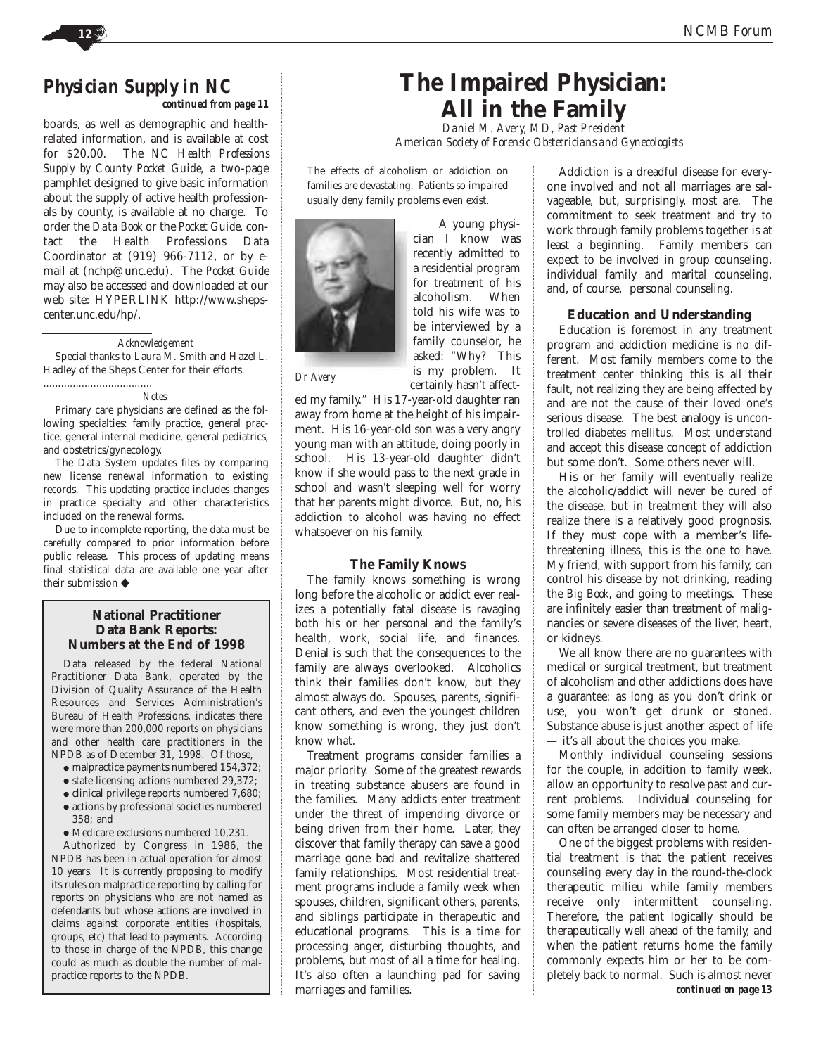# *Physician Supply in NC*

*continued from page 11*

boards, as well as demographic and healthrelated information, and is available at cost for \$20.00. The *NC Health Professions Supply by County Pocket Guide*, a two-page pamphlet designed to give basic information about the supply of active health professionals by county, is available at no charge. To order the *Data Book* or the *Pocket Guide*, contact the Health Professions Data Coordinator at (919) 966-7112, or by email at (nchp@unc.edu). The *Pocket Guide* may also be accessed and downloaded at our web site: HYPERLINK http://www.shepscenter.unc.edu/hp/.

## *Acknowledgement*

Special thanks to Laura M. Smith and Hazel L. Hadley of the Sheps Center for their efforts.

*Notes:*

.....................................

Primary care physicians are defined as the following specialties: family practice, general practice, general internal medicine, general pediatrics, and obstetrics/gynecology.

The Data System updates files by comparing new license renewal information to existing records. This updating practice includes changes in practice specialty and other characteristics included on the renewal forms.

Due to incomplete reporting, the data must be carefully compared to prior information before public release. This process of updating means final statistical data are available one year after their submission ◆

## **National Practitioner Data Bank Reports: Numbers at the End of 1998**

Data released by the federal National Practitioner Data Bank, operated by the Division of Quality Assurance of the Health Resources and Services Administration's Bureau of Health Professions, indicates there were more than 200,000 reports on physicians and other health care practitioners in the NPDB as of December 31, 1998. Of those,

- malpractice payments numbered 154,372;
- state licensing actions numbered 29,372;
- clinical privilege reports numbered 7,680;
- actions by professional societies numbered  $358$ ; and
- Medicare exclusions numbered 10,231.

Authorized by Congress in 1986, the NPDB has been in actual operation for almost 10 years. It is currently proposing to modify its rules on malpractice reporting by calling for reports on physicians who are not named as defendants but whose actions are involved in claims against corporate entities (hospitals, groups, etc) that lead to payments. According to those in charge of the NPDB, this change could as much as double the number of malpractice reports to the NPDB.

# **The Impaired Physician: All in the Family**

*Daniel M. Avery, MD, Past President American Society of Forensic Obstetricians and Gynecologists*

The effects of alcoholism or addiction on families are devastating. Patients so impaired usually deny family problems even exist.



A young physician I know was recently admitted to a residential program for treatment of his alcoholism. When told his wife was to be interviewed by a family counselor, he asked: "Why? This is my problem. It certainly hasn't affect-

*Dr Avery*

ed my family." His 17-year-old daughter ran away from home at the height of his impairment. His 16-year-old son was a very angry young man with an attitude, doing poorly in school. His 13-year-old daughter didn't know if she would pass to the next grade in school and wasn't sleeping well for worry that her parents might divorce. But, no, his addiction to alcohol was having no effect whatsoever on his family.

## **The Family Knows**

The family knows something is wrong long before the alcoholic or addict ever realizes a potentially fatal disease is ravaging both his or her personal and the family's health, work, social life, and finances. Denial is such that the consequences to the family are always overlooked. Alcoholics think their families don't know, but they almost always do. Spouses, parents, significant others, and even the youngest children know something is wrong, they just don't know what.

Treatment programs consider families a major priority. Some of the greatest rewards in treating substance abusers are found in the families. Many addicts enter treatment under the threat of impending divorce or being driven from their home. Later, they discover that family therapy can save a good marriage gone bad and revitalize shattered family relationships. Most residential treatment programs include a family week when spouses, children, significant others, parents, and siblings participate in therapeutic and educational programs. This is a time for processing anger, disturbing thoughts, and problems, but most of all a time for healing. It's also often a launching pad for saving marriages and families.

Addiction is a dreadful disease for everyone involved and not all marriages are salvageable, but, surprisingly, most are. The commitment to seek treatment and try to work through family problems together is at least a beginning. Family members can expect to be involved in group counseling, individual family and marital counseling, and, of course, personal counseling.

## **Education and Understanding**

Education is foremost in any treatment program and addiction medicine is no different. Most family members come to the treatment center thinking this is all their fault, not realizing they are being affected by and are not the cause of their loved one's serious disease. The best analogy is uncontrolled diabetes mellitus. Most understand and accept this disease concept of addiction but some don't. Some others never will.

His or her family will eventually realize the alcoholic/addict will never be cured of the disease, but in treatment they will also realize there is a relatively good prognosis. If they must cope with a member's lifethreatening illness, this is the one to have. My friend, with support from his family, can control his disease by not drinking, reading the *Big Book*, and going to meetings. These are infinitely easier than treatment of malignancies or severe diseases of the liver, heart, or kidneys.

We all know there are no guarantees with medical or surgical treatment, but treatment of alcoholism and other addictions does have a guarantee: as long as you don't drink or use, you won't get drunk or stoned. Substance abuse is just another aspect of life — it's all about the choices you make.

Monthly individual counseling sessions for the couple, in addition to family week, allow an opportunity to resolve past and current problems. Individual counseling for some family members may be necessary and can often be arranged closer to home.

One of the biggest problems with residential treatment is that the patient receives counseling every day in the round-the-clock therapeutic milieu while family members receive only intermittent counseling. Therefore, the patient logically should be therapeutically well ahead of the family, and when the patient returns home the family commonly expects him or her to be completely back to normal. Such is almost never *continued on page 13*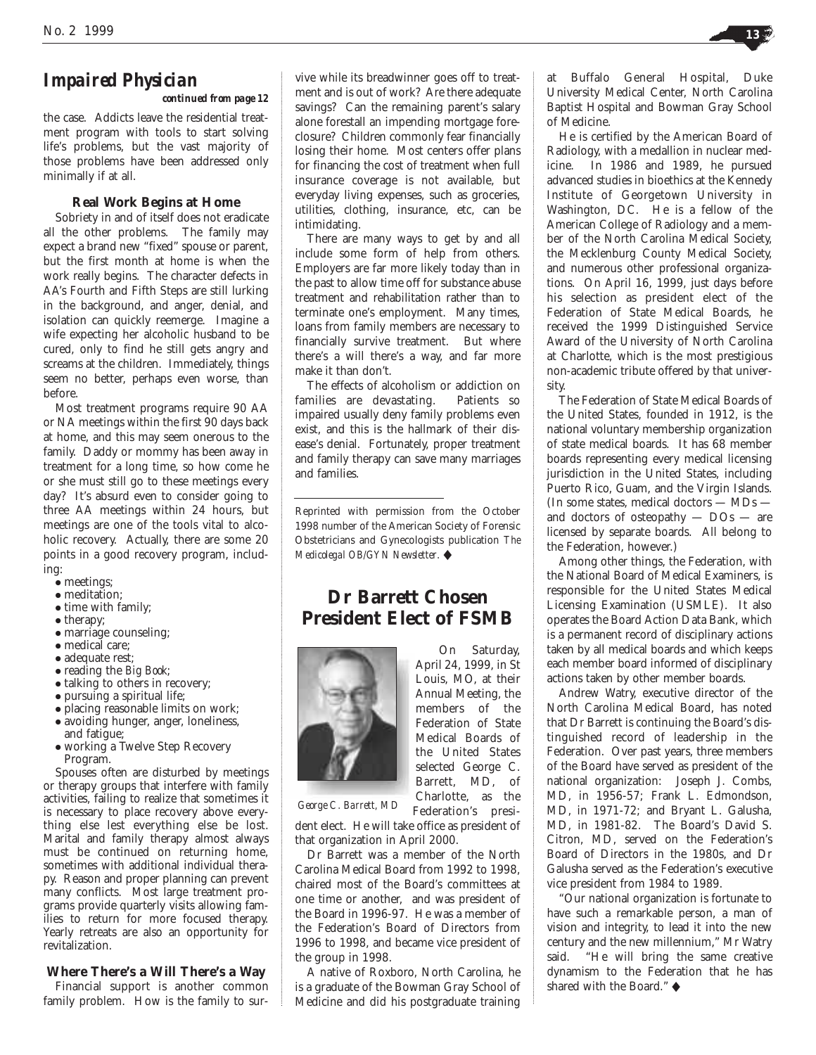# *Impaired Physician*

*continued from page 12*

the case. Addicts leave the residential treatment program with tools to start solving life's problems, but the vast majority of those problems have been addressed only minimally if at all.

## **Real Work Begins at Home**

Sobriety in and of itself does not eradicate all the other problems. The family may expect a brand new "fixed" spouse or parent, but the first month at home is when the work really begins. The character defects in AA's Fourth and Fifth Steps are still lurking in the background, and anger, denial, and isolation can quickly reemerge. Imagine a wife expecting her alcoholic husband to be cured, only to find he still gets angry and screams at the children. Immediately, things seem no better, perhaps even worse, than before.

Most treatment programs require 90 AA or NA meetings within the first 90 days back at home, and this may seem onerous to the family. Daddy or mommy has been away in treatment for a long time, so how come he or she must still go to these meetings every day? It's absurd even to consider going to three AA meetings within 24 hours, but meetings are one of the tools vital to alcoholic recovery. Actually, there are some 20 points in a good recovery program, including:

- meetings;
- meditation;
- time with family;
- therapy;
- marriage counseling;
- medical care; ● adequate rest;
- 
- reading the *Big Book*;
- talking to others in recovery; ● pursuing a spiritual life;
- 
- placing reasonable limits on work; ● avoiding hunger, anger, loneliness, and fatigue;
- working a Twelve Step Recovery Program.

Spouses often are disturbed by meetings or therapy groups that interfere with family activities, failing to realize that sometimes it is necessary to place recovery above everything else lest everything else be lost. Marital and family therapy almost always must be continued on returning home, sometimes with additional individual therapy. Reason and proper planning can prevent many conflicts. Most large treatment programs provide quarterly visits allowing families to return for more focused therapy. Yearly retreats are also an opportunity for revitalization.

## **Where There's a Will There's a Way**

Financial support is another common family problem. How is the family to survive while its breadwinner goes off to treatment and is out of work? Are there adequate savings? Can the remaining parent's salary alone forestall an impending mortgage foreclosure? Children commonly fear financially losing their home. Most centers offer plans for financing the cost of treatment when full insurance coverage is not available, but everyday living expenses, such as groceries, utilities, clothing, insurance, etc, can be intimidating.

There are many ways to get by and all include some form of help from others. Employers are far more likely today than in the past to allow time off for substance abuse treatment and rehabilitation rather than to terminate one's employment. Many times, loans from family members are necessary to financially survive treatment. But where there's a will there's a way, and far more make it than don't.

The effects of alcoholism or addiction on families are devastating. Patients so impaired usually deny family problems even exist, and this is the hallmark of their disease's denial. Fortunately, proper treatment and family therapy can save many marriages and families.

Reprinted with permission from the October 1998 number of the American Society of Forensic Obstetricians and Gynecologists publication *The Medicolegal OB/GYN Newsletter*. ◆

## **Dr Barrett Chosen President Elect of FSMB**



On Saturday, April 24, 1999, in St Louis, MO, at their Annual Meeting, the members of the Federation of State Medical Boards of the United States selected George C. Barrett, MD, of Charlotte, as the Federation's presi-

*George C. Barrett, MD*

dent elect. He will take office as president of that organization in April 2000.

Dr Barrett was a member of the North Carolina Medical Board from 1992 to 1998, chaired most of the Board's committees at one time or another, and was president of the Board in 1996-97. He was a member of the Federation's Board of Directors from 1996 to 1998, and became vice president of the group in 1998.

A native of Roxboro, North Carolina, he is a graduate of the Bowman Gray School of Medicine and did his postgraduate training

at Buffalo General Hospital, Duke University Medical Center, North Carolina Baptist Hospital and Bowman Gray School of Medicine.

He is certified by the American Board of Radiology, with a medallion in nuclear medicine. In 1986 and 1989, he pursued advanced studies in bioethics at the Kennedy Institute of Georgetown University in Washington, DC. He is a fellow of the American College of Radiology and a member of the North Carolina Medical Society, the Mecklenburg County Medical Society, and numerous other professional organizations. On April 16, 1999, just days before his selection as president elect of the Federation of State Medical Boards, he received the 1999 Distinguished Service Award of the University of North Carolina at Charlotte, which is the most prestigious non-academic tribute offered by that university.

The Federation of State Medical Boards of the United States, founded in 1912, is the national voluntary membership organization of state medical boards. It has 68 member boards representing every medical licensing jurisdiction in the United States, including Puerto Rico, Guam, and the Virgin Islands. (In some states, medical doctors — MDs and doctors of osteopathy  $-$  DOs  $-$  are licensed by separate boards. All belong to the Federation, however.)

Among other things, the Federation, with the National Board of Medical Examiners, is responsible for the United States Medical Licensing Examination (USMLE). It also operates the Board Action Data Bank, which is a permanent record of disciplinary actions taken by all medical boards and which keeps each member board informed of disciplinary actions taken by other member boards.

Andrew Watry, executive director of the North Carolina Medical Board, has noted that Dr Barrett is continuing the Board's distinguished record of leadership in the Federation. Over past years, three members of the Board have served as president of the national organization: Joseph J. Combs, MD, in 1956-57; Frank L. Edmondson, MD, in 1971-72; and Bryant L. Galusha, MD, in 1981-82. The Board's David S. Citron, MD, served on the Federation's Board of Directors in the 1980s, and Dr Galusha served as the Federation's executive vice president from 1984 to 1989.

"Our national organization is fortunate to have such a remarkable person, a man of vision and integrity, to lead it into the new century and the new millennium," Mr Watry said. "He will bring the same creative dynamism to the Federation that he has shared with the Board." ◆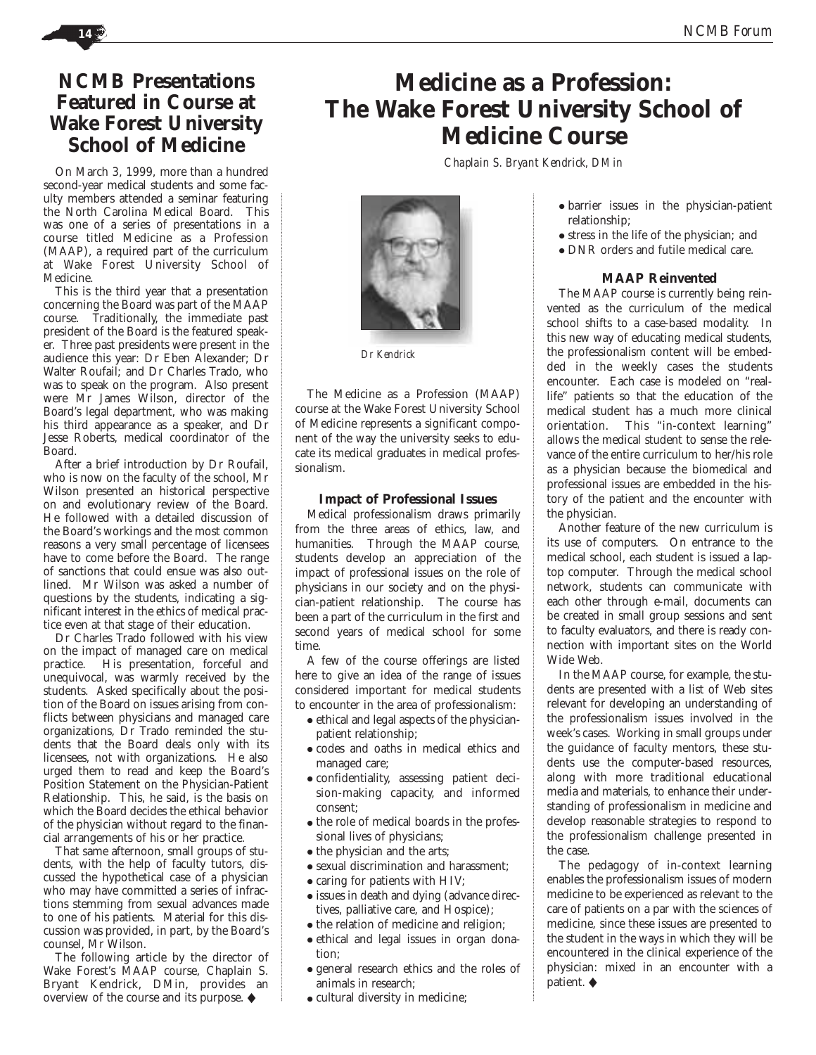## **NCMB Presentations Featured in Course at Wake Forest University School of Medicine**

On March 3, 1999, more than a hundred second-year medical students and some faculty members attended a seminar featuring the North Carolina Medical Board. This was one of a series of presentations in a course titled Medicine as a Profession (MAAP), a required part of the curriculum at Wake Forest University School of Medicine.

This is the third year that a presentation concerning the Board was part of the MAAP course. Traditionally, the immediate past president of the Board is the featured speaker. Three past presidents were present in the audience this year: Dr Eben Alexander; Dr Walter Roufail; and Dr Charles Trado, who was to speak on the program. Also present were Mr James Wilson, director of the Board's legal department, who was making his third appearance as a speaker, and Dr Jesse Roberts, medical coordinator of the Board.

After a brief introduction by Dr Roufail, who is now on the faculty of the school, Mr Wilson presented an historical perspective on and evolutionary review of the Board. He followed with a detailed discussion of the Board's workings and the most common reasons a very small percentage of licensees have to come before the Board. The range of sanctions that could ensue was also outlined. Mr Wilson was asked a number of questions by the students, indicating a significant interest in the ethics of medical practice even at that stage of their education.

Dr Charles Trado followed with his view on the impact of managed care on medical practice. His presentation, forceful and unequivocal, was warmly received by the students. Asked specifically about the position of the Board on issues arising from conflicts between physicians and managed care organizations, Dr Trado reminded the students that the Board deals only with its licensees, not with organizations. He also urged them to read and keep the Board's Position Statement on the Physician-Patient Relationship. This, he said, is the basis on which the Board decides the ethical behavior of the physician without regard to the financial arrangements of his or her practice.

That same afternoon, small groups of students, with the help of faculty tutors, discussed the hypothetical case of a physician who may have committed a series of infractions stemming from sexual advances made to one of his patients. Material for this discussion was provided, in part, by the Board's counsel, Mr Wilson.

The following article by the director of Wake Forest's MAAP course, Chaplain S. Bryant Kendrick, DMin, provides an overview of the course and its purpose. ◆

# **Medicine as a Profession: The Wake Forest University School of Medicine Course**

*Chaplain S. Bryant Kendrick, DMin*



*Dr Kendrick*

The Medicine as a Profession (MAAP) course at the Wake Forest University School of Medicine represents a significant component of the way the university seeks to educate its medical graduates in medical professionalism.

## **Impact of Professional Issues**

Medical professionalism draws primarily from the three areas of ethics, law, and humanities. Through the MAAP course, students develop an appreciation of the impact of professional issues on the role of physicians in our society and on the physician-patient relationship. The course has been a part of the curriculum in the first and second years of medical school for some time.

A few of the course offerings are listed here to give an idea of the range of issues considered important for medical students to encounter in the area of professionalism:

- ethical and legal aspects of the physicianpatient relationship;
- codes and oaths in medical ethics and managed care;
- confidentiality, assessing patient decision-making capacity, and informed consent;
- the role of medical boards in the professional lives of physicians;
- the physician and the arts;
- sexual discrimination and harassment;
- caring for patients with HIV;
- issues in death and dying (advance directives, palliative care, and Hospice);
- the relation of medicine and religion;
- ethical and legal issues in organ donation;
- general research ethics and the roles of animals in research;
- cultural diversity in medicine;
- barrier issues in the physician-patient relationship;
- stress in the life of the physician; and
- DNR orders and futile medical care.

## **MAAP Reinvented**

The MAAP course is currently being reinvented as the curriculum of the medical school shifts to a case-based modality. In this new way of educating medical students, the professionalism content will be embedded in the weekly cases the students encounter. Each case is modeled on "reallife" patients so that the education of the medical student has a much more clinical orientation. This "in-context learning" allows the medical student to sense the relevance of the entire curriculum to her/his role as a physician because the biomedical and professional issues are embedded in the history of the patient and the encounter with the physician.

Another feature of the new curriculum is its use of computers. On entrance to the medical school, each student is issued a laptop computer. Through the medical school network, students can communicate with each other through e-mail, documents can be created in small group sessions and sent to faculty evaluators, and there is ready connection with important sites on the World Wide Web.

In the MAAP course, for example, the students are presented with a list of Web sites relevant for developing an understanding of the professionalism issues involved in the week's cases. Working in small groups under the guidance of faculty mentors, these students use the computer-based resources, along with more traditional educational media and materials, to enhance their understanding of professionalism in medicine and develop reasonable strategies to respond to the professionalism challenge presented in the case.

The pedagogy of in-context learning enables the professionalism issues of modern medicine to be experienced as relevant to the care of patients on a par with the sciences of medicine, since these issues are presented to the student in the ways in which they will be encountered in the clinical experience of the physician: mixed in an encounter with a patient. ◆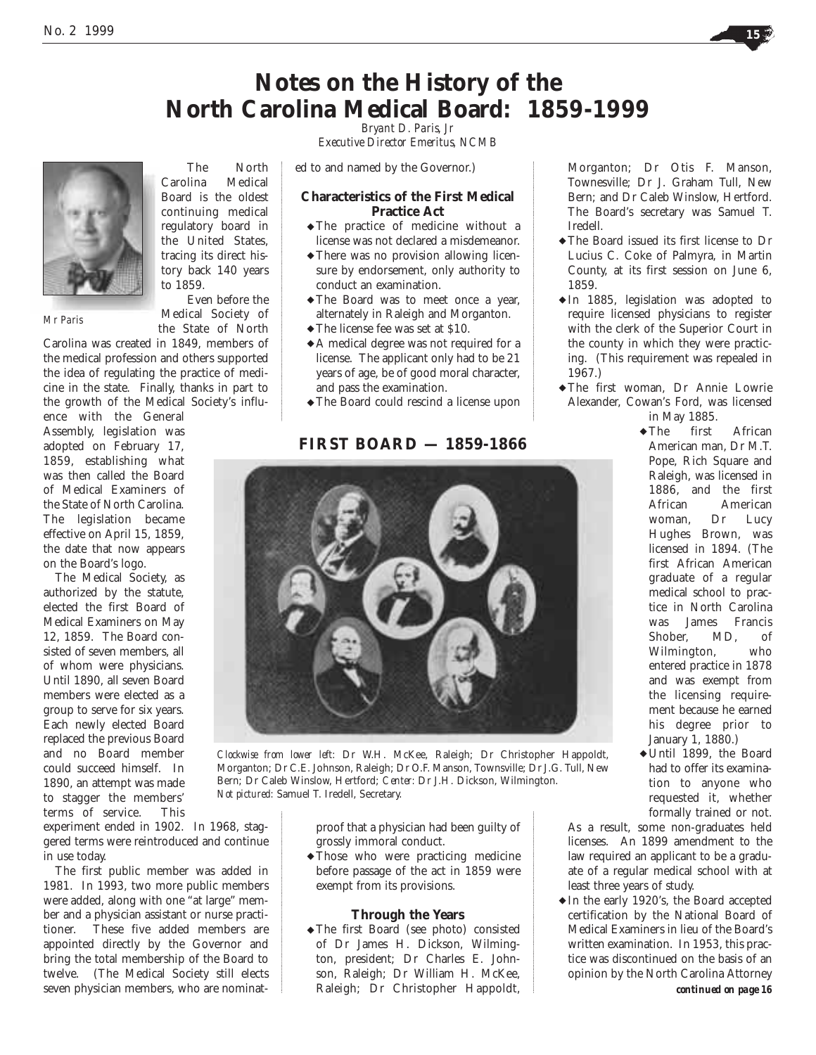

*Executive Director Emeritus, NCMB*

ed to and named by the Governor.)

## **Characteristics of the First Medical Practice Act**

- ◆ The practice of medicine without a license was not declared a misdemeanor.
- ◆ There was no provision allowing licensure by endorsement, only authority to conduct an examination.
- ◆ The Board was to meet once a year, alternately in Raleigh and Morganton.
- ◆ The license fee was set at \$10.
- ◆ A medical degree was not required for a license. The applicant only had to be 21 years of age, be of good moral character, and pass the examination.
- ◆ The Board could rescind a license upon

## **FIRST BOARD — 1859-1866**



*Clockwise from lower left:* Dr W.H. McKee, Raleigh; Dr Christopher Happoldt, Morganton; Dr C.E. Johnson, Raleigh; Dr O.F. Manson, Townsville; Dr J.G. Tull, New Bern; Dr Caleb Winslow, Hertford; *Center:* Dr J.H. Dickson, Wilmington. *Not pictured:* Samuel T. Iredell, Secretary.

proof that a physician had been guilty of grossly immoral conduct.

◆ Those who were practicing medicine before passage of the act in 1859 were exempt from its provisions.

## **Through the Years**

◆ The first Board (see photo) consisted of Dr James H. Dickson, Wilmington, president; Dr Charles E. Johnson, Raleigh; Dr William H. McKee, Raleigh; Dr Christopher Happoldt,

Morganton; Dr Otis F. Manson, Townesville; Dr J. Graham Tull, New Bern; and Dr Caleb Winslow, Hertford. The Board's secretary was Samuel T. Iredell.

- ◆ The Board issued its first license to Dr Lucius C. Coke of Palmyra, in Martin County, at its first session on June 6, 1859.
- ◆ In 1885, legislation was adopted to require licensed physicians to register with the clerk of the Superior Court in the county in which they were practicing. (This requirement was repealed in 1967.)
- ◆ The first woman, Dr Annie Lowrie Alexander, Cowan's Ford, was licensed

in May 1885. first African American man, Dr M.T. Pope, Rich Square and Raleigh, was licensed in 1886, and the first African American woman, Dr Lucy Hughes Brown, was licensed in 1894. (The first African American graduate of a regular medical school to practice in North Carolina was James Francis Shober, MD, of Wilmington, who entered practice in 1878 and was exempt from the licensing requirement because he earned his degree prior to January 1, 1880.)  $\blacktriangleright$  The

◆ Until 1899, the Board had to offer its examination to anyone who requested it, whether formally trained or not.

As a result, some non-graduates held licenses. An 1899 amendment to the law required an applicant to be a graduate of a regular medical school with at least three years of study.

◆ In the early 1920's, the Board accepted certification by the National Board of Medical Examiners in lieu of the Board's written examination. In 1953, this practice was discontinued on the basis of an opinion by the North Carolina Attorney *continued on page 16*

*Mr Paris*

continuing medical regulatory board in the United States, tracing its direct history back 140 years to 1859. Even before the Medical Society of

The North Carolina Medical Board is the oldest

the State of North

Carolina was created in 1849, members of the medical profession and others supported the idea of regulating the practice of medicine in the state. Finally, thanks in part to the growth of the Medical Society's influ-

ence with the General Assembly, legislation was adopted on February 17, 1859, establishing what was then called the Board of Medical Examiners of the State of North Carolina. The legislation became effective on April 15, 1859, the date that now appears on the Board's logo.

The Medical Society, as authorized by the statute, elected the first Board of Medical Examiners on May 12, 1859. The Board consisted of seven members, all of whom were physicians. Until 1890, all seven Board members were elected as a group to serve for six years. Each newly elected Board replaced the previous Board and no Board member could succeed himself. In 1890, an attempt was made to stagger the members' terms of service. This

experiment ended in 1902. In 1968, staggered terms were reintroduced and continue in use today.

The first public member was added in 1981. In 1993, two more public members were added, along with one "at large" member and a physician assistant or nurse practitioner. These five added members are appointed directly by the Governor and bring the total membership of the Board to twelve. (The Medical Society still elects seven physician members, who are nominat-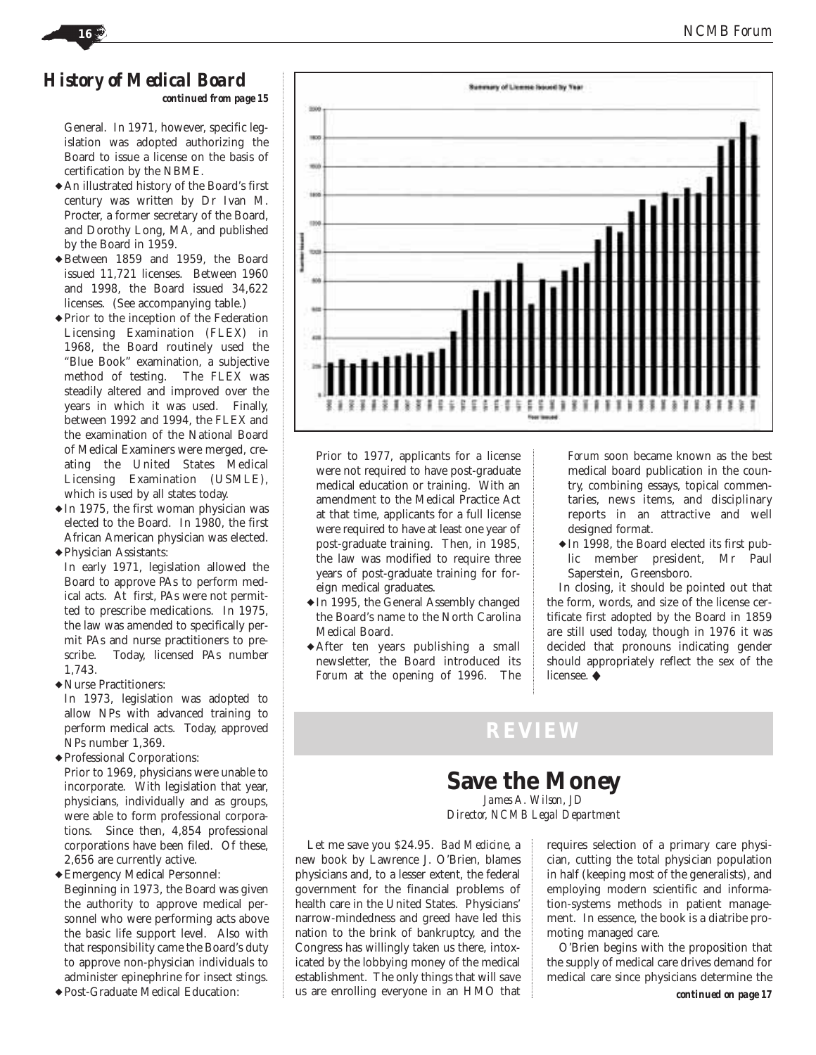## *History of Medical Board continued from page 15*

General. In 1971, however, specific legislation was adopted authorizing the Board to issue a license on the basis of certification by the NBME.

- ◆ An illustrated history of the Board's first century was written by Dr Ivan M. Procter, a former secretary of the Board, and Dorothy Long, MA, and published by the Board in 1959.
- ◆ Between 1859 and 1959, the Board issued 11,721 licenses. Between 1960 and 1998, the Board issued 34,622 licenses. (See accompanying table.)
- ◆ Prior to the inception of the Federation Licensing Examination (FLEX) in 1968, the Board routinely used the "Blue Book" examination, a subjective method of testing. The FLEX was steadily altered and improved over the years in which it was used. Finally, between 1992 and 1994, the FLEX and the examination of the National Board of Medical Examiners were merged, creating the United States Medical Licensing Examination (USMLE), which is used by all states today.
- ◆ In 1975, the first woman physician was elected to the Board. In 1980, the first African American physician was elected. ◆ Physician Assistants:

In early 1971, legislation allowed the Board to approve PAs to perform medical acts. At first, PAs were not permitted to prescribe medications. In 1975, the law was amended to specifically permit PAs and nurse practitioners to prescribe. Today, licensed PAs number 1,743.

◆Nurse Practitioners:

In 1973, legislation was adopted to allow NPs with advanced training to perform medical acts. Today, approved NPs number 1,369.

- ◆ Professional Corporations: Prior to 1969, physicians were unable to incorporate. With legislation that year, physicians, individually and as groups, were able to form professional corporations. Since then, 4,854 professional corporations have been filed. Of these, 2,656 are currently active.
- ◆ Emergency Medical Personnel: Beginning in 1973, the Board was given the authority to approve medical personnel who were performing acts above the basic life support level. Also with that responsibility came the Board's duty to approve non-physician individuals to administer epinephrine for insect stings.
- ◆ Post-Graduate Medical Education:



Prior to 1977, applicants for a license were not required to have post-graduate medical education or training. With an amendment to the Medical Practice Act at that time, applicants for a full license were required to have at least one year of post-graduate training. Then, in 1985, the law was modified to require three years of post-graduate training for foreign medical graduates.

- ◆ In 1995, the General Assembly changed the Board's name to the North Carolina Medical Board.
- ◆ After ten years publishing a small newsletter, the Board introduced its *Forum* at the opening of 1996. The

*Forum* soon became known as the best medical board publication in the country, combining essays, topical commentaries, news items, and disciplinary reports in an attractive and well designed format.

◆ In 1998, the Board elected its first public member president, Mr Paul Saperstein, Greensboro.

In closing, it should be pointed out that the form, words, and size of the license certificate first adopted by the Board in 1859 are still used today, though in 1976 it was decided that pronouns indicating gender should appropriately reflect the sex of the licensee. ◆

# **REVIEW**

## **Save the Money** *James A. Wilson, JD*

*Director, NCMB Legal Department*

Let me save you \$24.95. *Bad Medicine*, a new book by Lawrence J. O'Brien, blames physicians and, to a lesser extent, the federal government for the financial problems of health care in the United States. Physicians' narrow-mindedness and greed have led this nation to the brink of bankruptcy, and the Congress has willingly taken us there, intoxicated by the lobbying money of the medical establishment. The only things that will save us are enrolling everyone in an HMO that

requires selection of a primary care physician, cutting the total physician population in half (keeping most of the generalists), and employing modern scientific and information-systems methods in patient management. In essence, the book is a diatribe promoting managed care.

O'Brien begins with the proposition that the supply of medical care drives demand for medical care since physicians determine the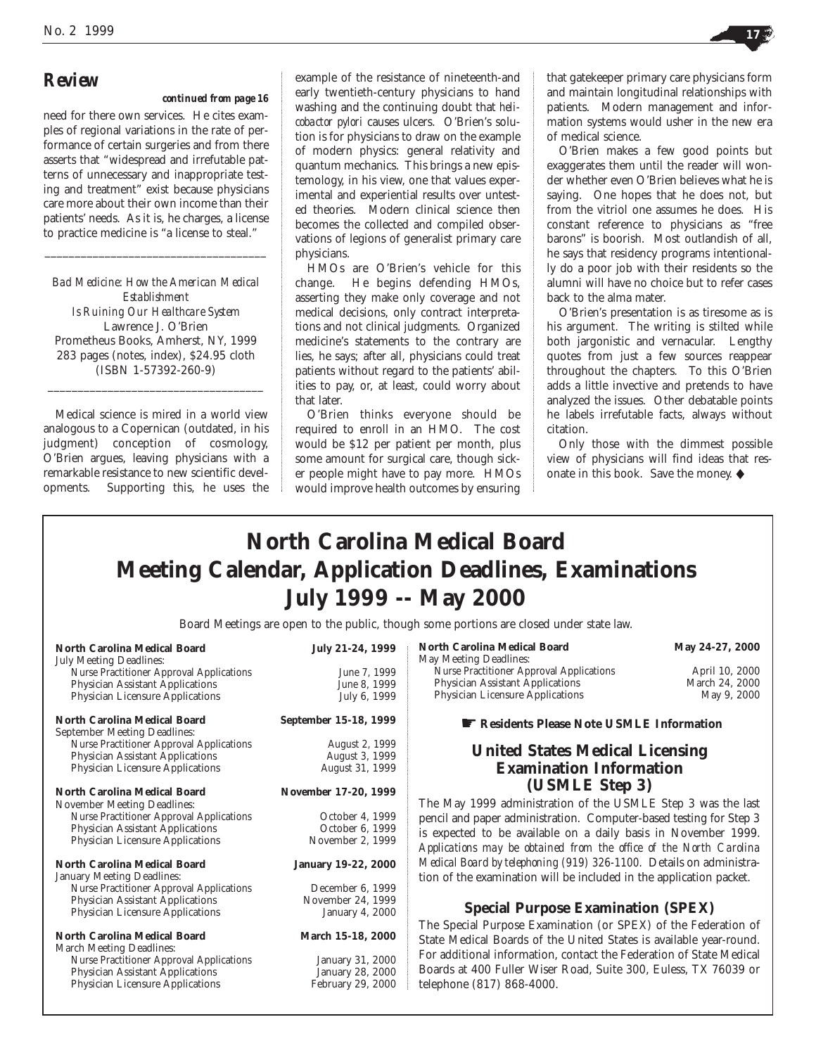## *Review*

## *continued from page 16*

need for there own services. He cites examples of regional variations in the rate of performance of certain surgeries and from there asserts that "widespread and irrefutable patterns of unnecessary and inappropriate testing and treatment" exist because physicians care more about their own income than their patients' needs. As it is, he charges, a license to practice medicine is "a license to steal."

*Bad Medicine: How the American Medical Establishment Is Ruining Our Healthcare System* Lawrence J. O'Brien Prometheus Books, Amherst, NY, 1999 283 pages (notes, index), \$24.95 cloth (ISBN 1-57392-260-9)

\_\_\_\_\_\_\_\_\_\_\_\_\_\_\_\_\_\_\_\_\_\_\_\_\_\_\_\_\_\_\_\_\_\_\_\_

\_\_\_\_\_\_\_\_\_\_\_\_\_\_\_\_\_\_\_\_\_\_\_\_\_\_\_\_\_\_\_\_\_\_\_\_\_

Medical science is mired in a world view analogous to a Copernican (outdated, in his judgment) conception of cosmology, O'Brien argues, leaving physicians with a remarkable resistance to new scientific developments. Supporting this, he uses the

example of the resistance of nineteenth-and early twentieth-century physicians to hand washing and the continuing doubt that *helicobactor pylori* causes ulcers. O'Brien's solution is for physicians to draw on the example of modern physics: general relativity and quantum mechanics. This brings a new epistemology, in his view, one that values experimental and experiential results over untested theories. Modern clinical science then becomes the collected and compiled observations of legions of generalist primary care physicians.

HMOs are O'Brien's vehicle for this change. He begins defending HMOs, asserting they make only coverage and not medical decisions, only contract interpretations and not clinical judgments. Organized medicine's statements to the contrary are lies, he says; after all, physicians could treat patients without regard to the patients' abilities to pay, or, at least, could worry about that later.

O'Brien thinks everyone should be required to enroll in an HMO. The cost would be \$12 per patient per month, plus some amount for surgical care, though sicker people might have to pay more. HMOs would improve health outcomes by ensuring that gatekeeper primary care physicians form and maintain longitudinal relationships with patients. Modern management and information systems would usher in the new era of medical science.

O'Brien makes a few good points but exaggerates them until the reader will wonder whether even O'Brien believes what he is saying. One hopes that he does not, but from the vitriol one assumes he does. His constant reference to physicians as "free barons" is boorish. Most outlandish of all, he says that residency programs intentionally do a poor job with their residents so the alumni will have no choice but to refer cases back to the alma mater.

O'Brien's presentation is as tiresome as is his argument. The writing is stilted while both jargonistic and vernacular. Lengthy quotes from just a few sources reappear throughout the chapters. To this O'Brien adds a little invective and pretends to have analyzed the issues. Other debatable points he labels irrefutable facts, always without citation.

Only those with the dimmest possible view of physicians will find ideas that resonate in this book. Save the money. ◆

# **North Carolina Medical Board Meeting Calendar, Application Deadlines, Examinations July 1999 -- May 2000**

Board Meetings are open to the public, though some portions are closed under state law.

| <b>North Carolina Medical Board</b>                                               | July 21-24, 1999      | <b>North Carolina Medical Board</b><br>May Meeting Deadlines:       | May 24-27, 2000 |
|-----------------------------------------------------------------------------------|-----------------------|---------------------------------------------------------------------|-----------------|
| <b>July Meeting Deadlines:</b><br><b>Nurse Practitioner Approval Applications</b> | June 7, 1999          | <b>Nurse Practitioner Approval Applications</b>                     | April 10, 2000  |
| <b>Physician Assistant Applications</b>                                           | June 8, 1999          | <b>Physician Assistant Applications</b>                             | March 24, 2000  |
| <b>Physician Licensure Applications</b>                                           |                       | Physician Licensure Applications                                    | May 9, 2000     |
|                                                                                   | July 6, 1999          |                                                                     |                 |
| <b>North Carolina Medical Board</b>                                               | September 15-18, 1999 | Residents Please Note USMLE Information                             |                 |
| <b>September Meeting Deadlines:</b>                                               |                       |                                                                     |                 |
| <b>Nurse Practitioner Approval Applications</b>                                   | August 2, 1999        | <b>United States Medical Licensing</b>                              |                 |
| <b>Physician Assistant Applications</b>                                           | August 3, 1999        |                                                                     |                 |
| <b>Physician Licensure Applications</b>                                           | August 31, 1999       | <b>Examination Information</b>                                      |                 |
|                                                                                   |                       | (USMLE Step 3)                                                      |                 |
| North Carolina Medical Board                                                      | November 17-20, 1999  |                                                                     |                 |
| <b>November Meeting Deadlines:</b>                                                |                       | The May 1999 administration of the USMLE Step 3 was the last        |                 |
| <b>Nurse Practitioner Approval Applications</b>                                   | October 4, 1999       | pencil and paper administration. Computer-based testing for Step 3  |                 |
| <b>Physician Assistant Applications</b>                                           | October 6, 1999       | is expected to be available on a daily basis in November 1999.      |                 |
| <b>Physician Licensure Applications</b>                                           | November 2, 1999      | Applications may be obtained from the office of the North Carolina  |                 |
|                                                                                   |                       | Medical Board by telephoning (919) 326-1100. Details on administra- |                 |
| North Carolina Medical Board                                                      | January 19-22, 2000   |                                                                     |                 |
| January Meeting Deadlines:                                                        |                       | tion of the examination will be included in the application packet. |                 |
| <b>Nurse Practitioner Approval Applications</b>                                   | December 6, 1999      |                                                                     |                 |
| Physician Assistant Applications                                                  | November 24, 1999     | <b>Special Purpose Examination (SPEX)</b>                           |                 |
| <b>Physician Licensure Applications</b>                                           | January 4, 2000       |                                                                     |                 |
| North Carolina Medical Board                                                      | March 15-18, 2000     | The Special Purpose Examination (or SPEX) of the Federation of      |                 |
|                                                                                   |                       | State Medical Boards of the United States is available year-round.  |                 |
| <b>March Meeting Deadlines:</b>                                                   | January 31, 2000      | For additional information, contact the Federation of State Medical |                 |
| <b>Nurse Practitioner Approval Applications</b>                                   | January 28, 2000      | Boards at 400 Fuller Wiser Road, Suite 300, Euless, TX 76039 or     |                 |
| Physician Assistant Applications                                                  |                       |                                                                     |                 |
| <b>Physician Licensure Applications</b>                                           | February 29, 2000     | telephone (817) 868-4000.                                           |                 |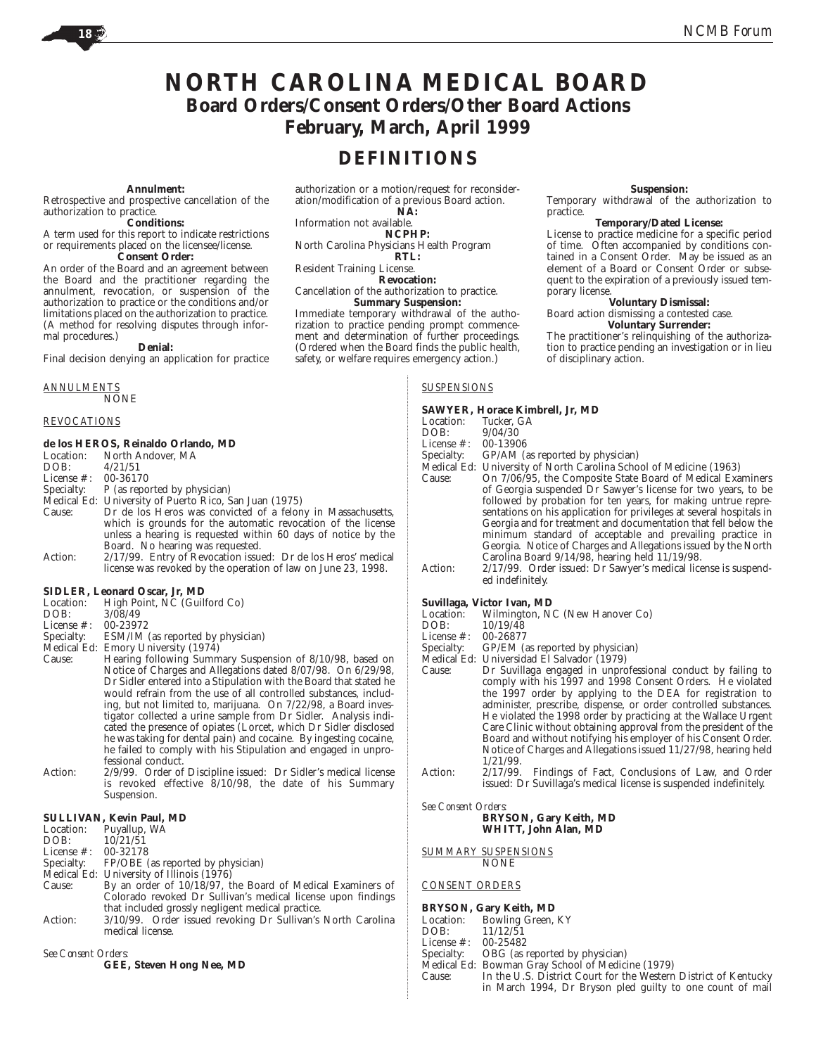**Suspension:** Temporary withdrawal of the authorization to

**Temporary/Dated License:** License to practice medicine for a specific period of time. Often accompanied by conditions contained in a Consent Order. May be issued as an element of a Board or Consent Order or subsequent to the expiration of a previously issued tem-

**Voluntary Dismissal:** Board action dismissing a contested case. **Voluntary Surrender:** The practitioner's relinquishing of the authorization to practice pending an investigation or in lieu

## **NORTH CAROLINA MEDICAL BOARD Board Orders/Consent Orders/Other Board Actions February, March, April 1999**

## **DEFINITIONS**

### **Annulment:**

Retrospective and prospective cancellation of the authorization to practice.

### **Conditions:**

A term used for this report to indicate restrictions or requirements placed on the licensee/license. **Consent Order:**

An order of the Board and an agreement between the Board and the practitioner regarding the annulment, revocation, or suspension of the authorization to practice or the conditions and/or limitations placed on the authorization to practice. (A method for resolving disputes through informal procedures.)

### **Denial:**

Final decision denying an application for practice

## *ANNULMENTS*

NONE

### *REVOCATIONS*

## **de los HEROS, Reinaldo Orlando, MD**

|                       | Location: North Andover, MA                                    |
|-----------------------|----------------------------------------------------------------|
| DOB:                  | 4/21/51                                                        |
| License #: $00-36170$ |                                                                |
|                       | Specialty: P (as reported by physician)                        |
|                       | Medical Ed: University of Puerto Rico, San Juan (1975)         |
| Cause:                | Dr de los Heros was convicted of a felony in Massachusetts,    |
|                       | which is grounds for the automatic revocation of the license   |
|                       | unless a hearing is requested within 60 days of notice by the  |
|                       | Board. No hearing was requested.                               |
| $A = 1$               | 9/17/00 Entre of Descocation topicals Duale Lan House, modical |

Action: 2/17/99. Entry of Revocation issued: Dr de los Heros' medical license was revoked by the operation of law on June 23, 1998.

### **SIDLER, Leonard Oscar, Jr, MD**

- Location: High Point, NC (Guilford Co)
- DOB: 3/08/49<br>License #: 00-23972
- License #:<br>Specialty:
- ESM/IM (as reported by physician)
- Medical Ed: Emory University (1974) Cause: Hearing following Summary Suspension of 8/10/98, based on Notice of Charges and Allegations dated 8/07/98. On 6/29/98, Dr Sidler entered into a Stipulation with the Board that stated he would refrain from the use of all controlled substances, including, but not limited to, marijuana. On 7/22/98, a Board investigator collected a urine sample from Dr Sidler. Analysis indicated the presence of opiates (Lorcet, which Dr Sidler disclosed he was taking for dental pain) and cocaine. By ingesting cocaine, he failed to comply with his Stipulation and engaged in unprofessional conduct.
- Action: 2/9/99. Order of Discipline issued: Dr Sidler's medical license is revoked effective 8/10/98, the date of his Summary Suspension.

### **SULLIVAN, Kevin Paul, MD**

Location: Puyallup, WA<br>DOB:  $10/21/51$ 

DOB:  $10/21/51$ <br>License #: 00-32178

- License #: 00-32178
- Specialty: FP/OBE (as reported by physician)
- Medical Ed: University of Illinois (1976)<br>Cause: By an order of 10/18/97. t
- By an order of 10/18/97, the Board of Medical Examiners of Colorado revoked Dr Sullivan's medical license upon findings that included grossly negligent medical practice.
- Action: 3/10/99. Order issued revoking Dr Sullivan's North Carolina medical license.

*See Consent Orders:*

**GEE, Steven Hong Nee, MD**

authorization or a motion/request for reconsideration/modification of a previous Board action. **NA:**

Information not available.

**NCPHP:**

North Carolina Physicians Health Program **RTL:**

Resident Training License.

**Revocation:**

Cancellation of the authorization to practice. **Summary Suspension:**

Immediate temporary withdrawal of the authorization to practice pending prompt commencement and determination of further proceedings. (Ordered when the Board finds the public health, safety, or welfare requires emergency action.)

## *SUSPENSIONS*

### **SAWYER, Horace Kimbrell, Jr, MD**

- Location: Tucker, GA<br>DOB:  $9/04/30$
- $9/04/30$ <br> $00-13906$

License  $\#$ 

Specialty: GP/AM (as reported by physician)

practice.

porary license.

Medical Ed: University of North Carolina School of Medicine (1963)

of disciplinary action.

- Cause: On 7/06/95, the Composite State Board of Medical Examiners of Georgia suspended Dr Sawyer's license for two years, to be followed by probation for ten years, for making untrue representations on his application for privileges at several hospitals in Georgia and for treatment and documentation that fell below the minimum standard of acceptable and prevailing practice in Georgia. Notice of Charges and Allegations issued by the North Carolina Board 9/14/98, hearing held 11/19/98.
- Action: 2/17/99. Order issued: Dr Sawyer's medical license is suspended indefinitely.

# **Suvillaga, Victor Ivan, MD**<br>Location: Wilmington, N

Location: Wilmington, NC (New Hanover Co)<br>DOB:  $10/19/48$ 

10/19/48<br>00-26877

License #:<br>Specialty:

GP/EM (as reported by physician)

- Medical Ed: Universidad El Salvador (1979)
- Dr Suvillaga engaged in unprofessional conduct by failing to comply with his 1997 and 1998 Consent Orders. He violated the 1997 order by applying to the DEA for registration to administer, prescribe, dispense, or order controlled substances. He violated the 1998 order by practicing at the Wallace Urgent Care Clinic without obtaining approval from the president of the Board and without notifying his employer of his Consent Order. Notice of Charges and Allegations issued 11/27/98, hearing held 1/21/99.<br>2/17/99.
- Action: 2/17/99. Findings of Fact, Conclusions of Law, and Order issued: Dr Suvillaga's medical license is suspended indefinitely.

*See Consent Orders:*

**BRYSON, Gary Keith, MD WHITT, John Alan, MD**

*SUMMARY SUSPENSIONS* NONE

### *CONSENT ORDERS*

## **BRYSON, Gary Keith, MD**<br>Location: Bowling Green.

Location: Bowling Green, KY<br>DOB: 11/12/51

11/12/51<br>00-25482

- License #:<br>Specialty: OBG (as reported by physician)
- 
- Medical Ed: Bowman Gray School of Medicine (1979)<br>Cause: In the U.S. District Court for the Western In the U.S. District Court for the Western District of Kentucky in March 1994, Dr Bryson pled guilty to one count of mail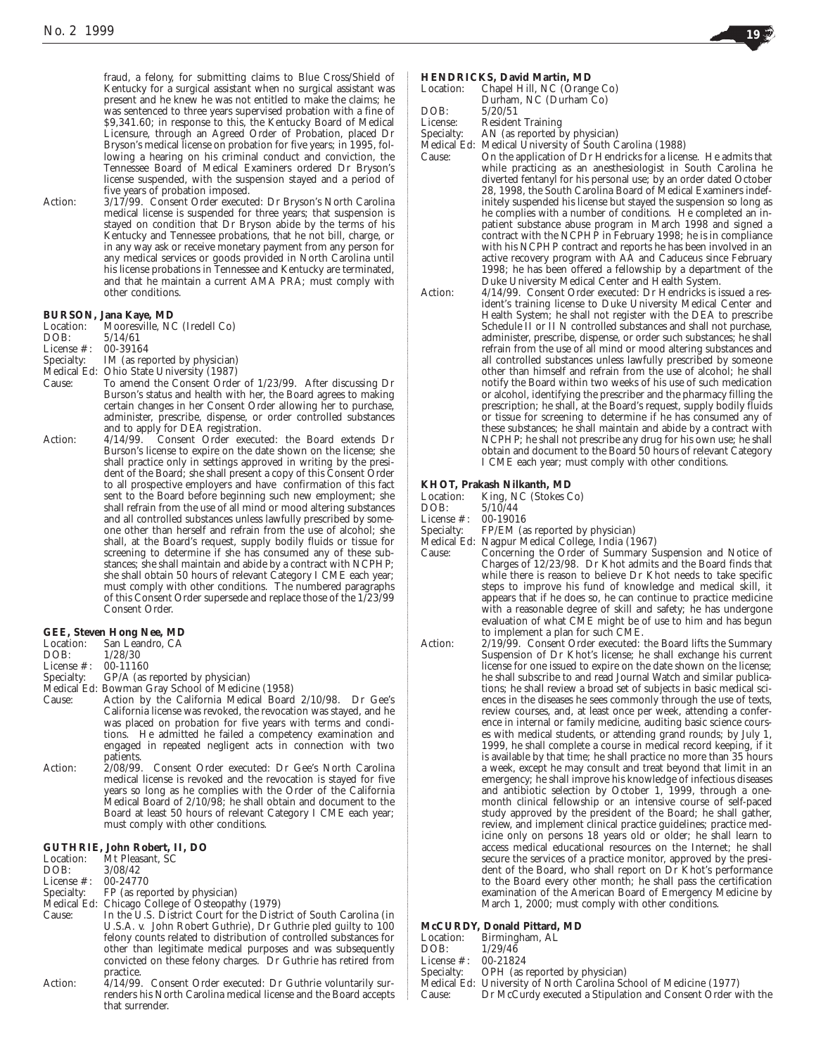fraud, a felony, for submitting claims to Blue Cross/Shield of Kentucky for a surgical assistant when no surgical assistant was present and he knew he was not entitled to make the claims; he was sentenced to three years supervised probation with a fine of \$9,341.60; in response to this, the Kentucky Board of Medical Licensure, through an Agreed Order of Probation, placed Dr Bryson's medical license on probation for five years; in 1995, following a hearing on his criminal conduct and conviction, the Tennessee Board of Medical Examiners ordered Dr Bryson's license suspended, with the suspension stayed and a period of five years of probation imposed.

Action: 3/17/99. Consent Order executed: Dr Bryson's North Carolina medical license is suspended for three years; that suspension is stayed on condition that Dr Bryson abide by the terms of his Kentucky and Tennessee probations, that he not bill, charge, or in any way ask or receive monetary payment from any person for any medical services or goods provided in North Carolina until his license probations in Tennessee and Kentucky are terminated, and that he maintain a current AMA PRA; must comply with other conditions.

## **BURSON, Jana Kaye, MD**

| Location: | Mooresville, NC (Iredell Co) |
|-----------|------------------------------|
| DOB:      | 5/14/61                      |

License #: 00-39164

- Specialty: IM (as reported by physician)
- Medical Ed: Ohio State University (1987)<br>Cause: To amend the Consent Orde To amend the Consent Order of 1/23/99. After discussing Dr Burson's status and health with her, the Board agrees to making certain changes in her Consent Order allowing her to purchase, administer, prescribe, dispense, or order controlled substances and to apply for DEA registration.
- Action: 4/14/99. Consent Order executed: the Board extends Dr Burson's license to expire on the date shown on the license; she shall practice only in settings approved in writing by the president of the Board; she shall present a copy of this Consent Order to all prospective employers and have confirmation of this fact sent to the Board before beginning such new employment; she shall refrain from the use of all mind or mood altering substances and all controlled substances unless lawfully prescribed by someone other than herself and refrain from the use of alcohol; she shall, at the Board's request, supply bodily fluids or tissue for screening to determine if she has consumed any of these substances; she shall maintain and abide by a contract with NCPHP; she shall obtain 50 hours of relevant Category I CME each year; must comply with other conditions. The numbered paragraphs of this Consent Order supersede and replace those of the 1/23/99 Consent Order.

## **GEE, Steven Hong Nee, MD**

- Location: San Leandro, CA<br>DOB:  $1/28/30$
- DOB: 1/28/30
- 
- License #: 00-11160<br>Specialty: GP/A (as GP/A (as reported by physician)
- Medical Ed: Bowman Gray School of Medicine (1958)
- Cause: Action by the California Medical Board 2/10/98. Dr Gee's California license was revoked, the revocation was stayed, and he was placed on probation for five years with terms and conditions. He admitted he failed a competency examination and engaged in repeated negligent acts in connection with two patients.
- Action: 2/08/99. Consent Order executed: Dr Gee's North Carolina medical license is revoked and the revocation is stayed for five years so long as he complies with the Order of the California Medical Board of 2/10/98; he shall obtain and document to the Board at least 50 hours of relevant Category I CME each year; must comply with other conditions.

### **GUTHRIE, John Robert, II, DO**

| Location: | Mt Pleasant, SC |
|-----------|-----------------|
| DOB:      | 3/08/42         |

- License #: 00-24770<br>Specialty: FP (as rep FP (as reported by physician)
- Medical Ed: Chicago College of Osteopathy (1979)
- Cause: In the U.S. District Court for the District of South Carolina (in U.S.A. v. John Robert Guthrie), Dr Guthrie pled guilty to 100 felony counts related to distribution of controlled substances for other than legitimate medical purposes and was subsequently convicted on these felony charges. Dr Guthrie has retired from practice.
- Action: 4/14/99. Consent Order executed: Dr Guthrie voluntarily surrenders his North Carolina medical license and the Board accepts that surrender.

### **HENDRICKS, David Martin, MD**

| Location: | Chapel Hill, NC (Orange Co) |
|-----------|-----------------------------|
|           | Durham, NC (Durham Co)      |
| DOB:      | 5/20/51                     |

License: Resident Training

Specialty: AN (as reported by physician)

Medical Ed: Medical University of South Carolina (1988)

- Cause: On the application of Dr Hendricks for a license. He admits that while practicing as an anesthesiologist in South Carolina he diverted fentanyl for his personal use; by an order dated October 28, 1998, the South Carolina Board of Medical Examiners indefinitely suspended his license but stayed the suspension so long as he complies with a number of conditions. He completed an inpatient substance abuse program in March 1998 and signed a contract with the NCPHP in February 1998; he is in compliance with his NCPHP contract and reports he has been involved in an active recovery program with AA and Caduceus since February 1998; he has been offered a fellowship by a department of the Duke University Medical Center and Health System.
- Action: 4/14/99. Consent Order executed: Dr Hendricks is issued a resident's training license to Duke University Medical Center and Health System; he shall not register with the DEA to prescribe Schedule II or II N controlled substances and shall not purchase, administer, prescribe, dispense, or order such substances; he shall refrain from the use of all mind or mood altering substances and all controlled substances unless lawfully prescribed by someone other than himself and refrain from the use of alcohol; he shall notify the Board within two weeks of his use of such medication or alcohol, identifying the prescriber and the pharmacy filling the prescription; he shall, at the Board's request, supply bodily fluids or tissue for screening to determine if he has consumed any of these substances; he shall maintain and abide by a contract with NCPHP; he shall not prescribe any drug for his own use; he shall obtain and document to the Board 50 hours of relevant Category I CME each year; must comply with other conditions.

# **KHOT, Prakash Nilkanth, MD**

- Location: King, NC (Stokes Co)
- DOB: 5/10/44
- License #: 00-19016
- Specialty: FP/EM (as reported by physician)<br>Medical Ed: Nagpur Medical College, India (1)
- Medical Ed: Nagpur Medical College, India (1967)
- Cause: Concerning the Order of Summary Suspension and Notice of Charges of 12/23/98. Dr Khot admits and the Board finds that while there is reason to believe Dr Khot needs to take specific steps to improve his fund of knowledge and medical skill, it appears that if he does so, he can continue to practice medicine with a reasonable degree of skill and safety; he has undergone evaluation of what CME might be of use to him and has begun to implement a plan for such CME.
- Action: 2/19/99. Consent Order executed: the Board lifts the Summary Suspension of Dr Khot's license; he shall exchange his current license for one issued to expire on the date shown on the license; he shall subscribe to and read Journal Watch and similar publications; he shall review a broad set of subjects in basic medical sciences in the diseases he sees commonly through the use of texts, review courses, and, at least once per week, attending a conference in internal or family medicine, auditing basic science courses with medical students, or attending grand rounds; by July 1, 1999, he shall complete a course in medical record keeping, if it is available by that time; he shall practice no more than 35 hours a week, except he may consult and treat beyond that limit in an emergency; he shall improve his knowledge of infectious diseases and antibiotic selection by October 1, 1999, through a onemonth clinical fellowship or an intensive course of self-paced study approved by the president of the Board; he shall gather, review, and implement clinical practice guidelines; practice medicine only on persons 18 years old or older; he shall learn to access medical educational resources on the Internet; he shall secure the services of a practice monitor, approved by the president of the Board, who shall report on Dr Khot's performance to the Board every other month; he shall pass the certification examination of the American Board of Emergency Medicine by March 1, 2000; must comply with other conditions.

### **McCURDY, Donald Pittard, MD**

|                         | McCURDY, Donald Pittard, MD                                        |
|-------------------------|--------------------------------------------------------------------|
|                         | Location: Birmingham, AL                                           |
| DOB: 1/29/46            |                                                                    |
| License $\#$ : 00-21824 |                                                                    |
|                         | Specialty: OPH (as reported by physician)                          |
|                         | Medical Ed: University of North Carolina School of Medicine (1977) |
| Cause:                  | Dr McCurdy executed a Stipulation and Consent Order with the       |
|                         |                                                                    |

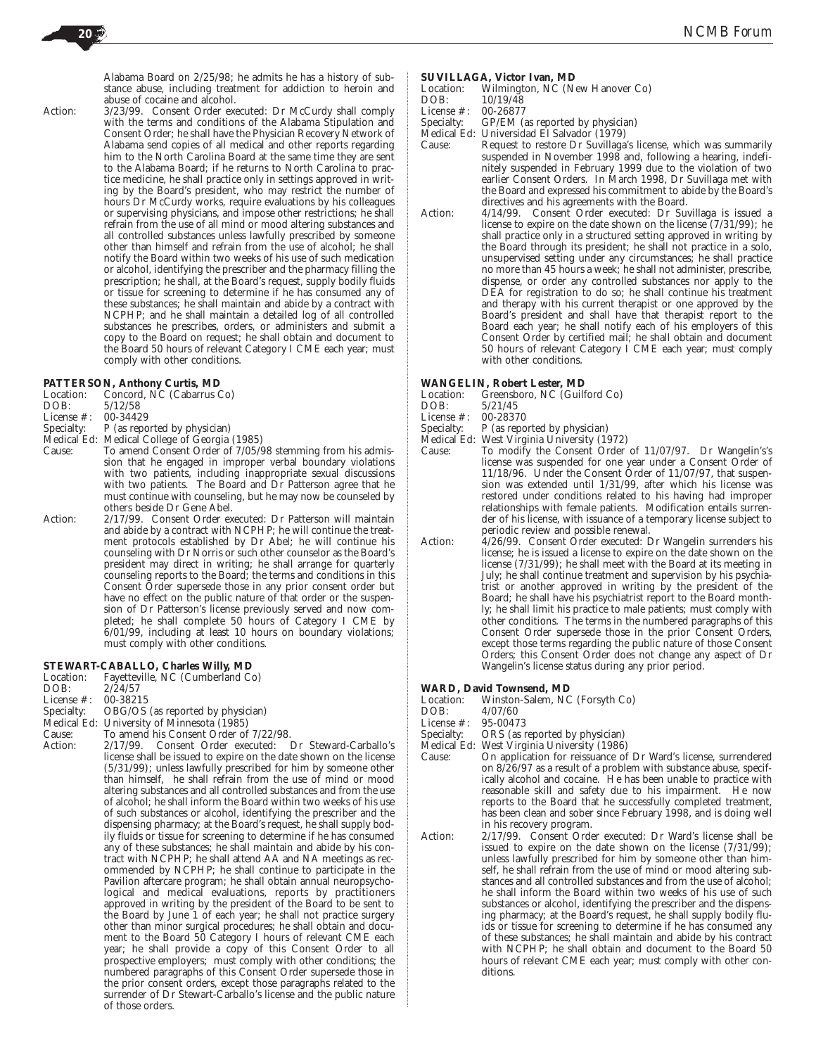Alabama Board on 2/25/98; he admits he has a history of substance abuse, including treatment for addiction to heroin and abuse of cocaine and alcohol.

Action: 3/23/99. Consent Order executed: Dr McCurdy shall comply with the terms and conditions of the Alabama Stipulation and Consent Order; he shall have the Physician Recovery Network of Alabama send copies of all medical and other reports regarding him to the North Carolina Board at the same time they are sent to the Alabama Board; if he returns to North Carolina to practice medicine, he shall practice only in settings approved in writing by the Board's president, who may restrict the number of hours Dr McCurdy works, require evaluations by his colleagues or supervising physicians, and impose other restrictions; he shall refrain from the use of all mind or mood altering substances and all controlled substances unless lawfully prescribed by someone other than himself and refrain from the use of alcohol; he shall notify the Board within two weeks of his use of such medication or alcohol, identifying the prescriber and the pharmacy filling the prescription; he shall, at the Board's request, supply bodily fluids or tissue for screening to determine if he has consumed any of these substances; he shall maintain and abide by a contract with NCPHP; and he shall maintain a detailed log of all controlled substances he prescribes, orders, or administers and submit a copy to the Board on request; he shall obtain and document to the Board 50 hours of relevant Category I CME each year; must comply with other conditions.

### **PATTERSON, Anthony Curtis, MD**

| Location:     | Concord, NC (Cabarrus Co)                     |
|---------------|-----------------------------------------------|
| DOB:          | 5/12/58                                       |
| License $#$ : | 00-34429                                      |
| Specialty:    | P (as reported by physician)                  |
|               | Medical Ed: Medical College of Ceorgia (1985) |

- Medical Ed: Medical College of Georgia (1985)
- Cause: To amend Consent Order of 7/05/98 stemming from his admission that he engaged in improper verbal boundary violations with two patients, including inappropriate sexual discussions with two patients. The Board and Dr Patterson agree that he must continue with counseling, but he may now be counseled by others beside Dr Gene Abel.
- Action: 2/17/99. Consent Order executed: Dr Patterson will maintain and abide by a contract with NCPHP; he will continue the treatment protocols established by Dr Abel; he will continue his counseling with Dr Norris or such other counselor as the Board's president may direct in writing; he shall arrange for quarterly counseling reports to the Board; the terms and conditions in this Consent Order supersede those in any prior consent order but have no effect on the public nature of that order or the suspension of Dr Patterson's license previously served and now completed; he shall complete 50 hours of Category I CME by 6/01/99, including at least 10 hours on boundary violations; must comply with other conditions.

### **STEWART-CABALLO, Charles Willy, MD**

| Location: | Fayetteville, NC (Cumberland Co) |  |  |  |
|-----------|----------------------------------|--|--|--|
|           |                                  |  |  |  |

DOB:  $2/\tilde{2}4/57$ <br>License #: 00-38215 License #:

- Specialty: OBG/OS (as reported by physician)
- Medical Ed: University of Minnesota (1985)
- 
- Cause: To amend his Consent Order of 7/22/98.<br>Action: 2/17/99. Consent Order executed: Consent Order executed: Dr Steward-Carballo's license shall be issued to expire on the date shown on the license (5/31/99); unless lawfully prescribed for him by someone other than himself, he shall refrain from the use of mind or mood altering substances and all controlled substances and from the use of alcohol; he shall inform the Board within two weeks of his use of such substances or alcohol, identifying the prescriber and the dispensing pharmacy; at the Board's request, he shall supply bodily fluids or tissue for screening to determine if he has consumed any of these substances; he shall maintain and abide by his contract with NCPHP; he shall attend AA and NA meetings as recommended by NCPHP; he shall continue to participate in the Pavilion aftercare program; he shall obtain annual neuropsychological and medical evaluations, reports by practitioners approved in writing by the president of the Board to be sent to the Board by June 1 of each year; he shall not practice surgery other than minor surgical procedures; he shall obtain and document to the Board 50 Category I hours of relevant CME each year; he shall provide a copy of this Consent Order to all prospective employers; must comply with other conditions; the numbered paragraphs of this Consent Order supersede those in the prior consent orders, except those paragraphs related to the surrender of Dr Stewart-Carballo's license and the public nature of those orders.

### **SUVILLAGA, Victor Ivan, MD**

Location: Wilmington, NC (New Hanover Co)<br>DOB:  $10/19/48$ 

10/19/48<br>00-26877

- License #:<br>Specialty:
- Specialty: GP/EM (as reported by physician)<br>Medical Ed: Universidad El Salvador (1979) Universidad El Salvador (1979)
- Cause: Request to restore Dr Suvillaga's license, which was summarily suspended in November 1998 and, following a hearing, indefinitely suspended in February 1999 due to the violation of two earlier Consent Orders. In March 1998, Dr Suvillaga met with the Board and expressed his commitment to abide by the Board's directives and his agreements with the Board.
- Action: 4/14/99. Consent Order executed: Dr Suvillaga is issued a license to expire on the date shown on the license (7/31/99); he shall practice only in a structured setting approved in writing by the Board through its president; he shall not practice in a solo, unsupervised setting under any circumstances; he shall practice no more than 45 hours a week; he shall not administer, prescribe, dispense, or order any controlled substances nor apply to the DEA for registration to do so; he shall continue his treatment and therapy with his current therapist or one approved by the Board's president and shall have that therapist report to the Board each year; he shall notify each of his employers of this Consent Order by certified mail; he shall obtain and document 50 hours of relevant Category I CME each year; must comply with other conditions.

### **WANGELIN, Robert Lester, MD**

- Location: Greensboro, NC (Guilford Co)<br>DOB:  $5/21/45$
- 5/21/45<br>00-28370
- License #:
- Specialty: P (as reported by physician)
- Medical Ed: West Virginia University (1972)<br>Cause: To modify the Consent Order
- To modify the Consent Order of 11/07/97. Dr Wangelin's's license was suspended for one year under a Consent Order of 11/18/96. Under the Consent Order of 11/07/97, that suspension was extended until 1/31/99, after which his license was restored under conditions related to his having had improper relationships with female patients. Modification entails surrender of his license, with issuance of a temporary license subject to periodic review and possible renewal.
- Action:  $\dot{4}/26/99$ . Consent Order executed: Dr Wangelin surrenders his license; he is issued a license to expire on the date shown on the license (7/31/99); he shall meet with the Board at its meeting in July; he shall continue treatment and supervision by his psychiatrist or another approved in writing by the president of the Board; he shall have his psychiatrist report to the Board monthly; he shall limit his practice to male patients; must comply with other conditions. The terms in the numbered paragraphs of this Consent Order supersede those in the prior Consent Orders, except those terms regarding the public nature of those Consent Orders; this Consent Order does not change any aspect of Dr Wangelin's license status during any prior period.

## **WARD, David Townsend, MD**

- Location: Winston-Salem, NC (Forsyth Co)<br>DOB:  $4/07/60$
- 4/07/60<br>95-00473
- License #:
- Specialty: ORS (as reported by physician)<br>Medical Ed: West Virginia University (1986)
- West Virginia University (1986)
- Cause: On application for reissuance of Dr Ward's license, surrendered on 8/26/97 as a result of a problem with substance abuse, specifically alcohol and cocaine. He has been unable to practice with reasonable skill and safety due to his impairment. He now reports to the Board that he successfully completed treatment, has been clean and sober since February 1998, and is doing well in his recovery program.

Action: 2/17/99. Consent Order executed: Dr Ward's license shall be issued to expire on the date shown on the license (7/31/99); unless lawfully prescribed for him by someone other than himself, he shall refrain from the use of mind or mood altering substances and all controlled substances and from the use of alcohol; he shall inform the Board within two weeks of his use of such substances or alcohol, identifying the prescriber and the dispensing pharmacy; at the Board's request, he shall supply bodily fluids or tissue for screening to determine if he has consumed any of these substances; he shall maintain and abide by his contract with NCPHP; he shall obtain and document to the Board 50 hours of relevant CME each year; must comply with other conditions.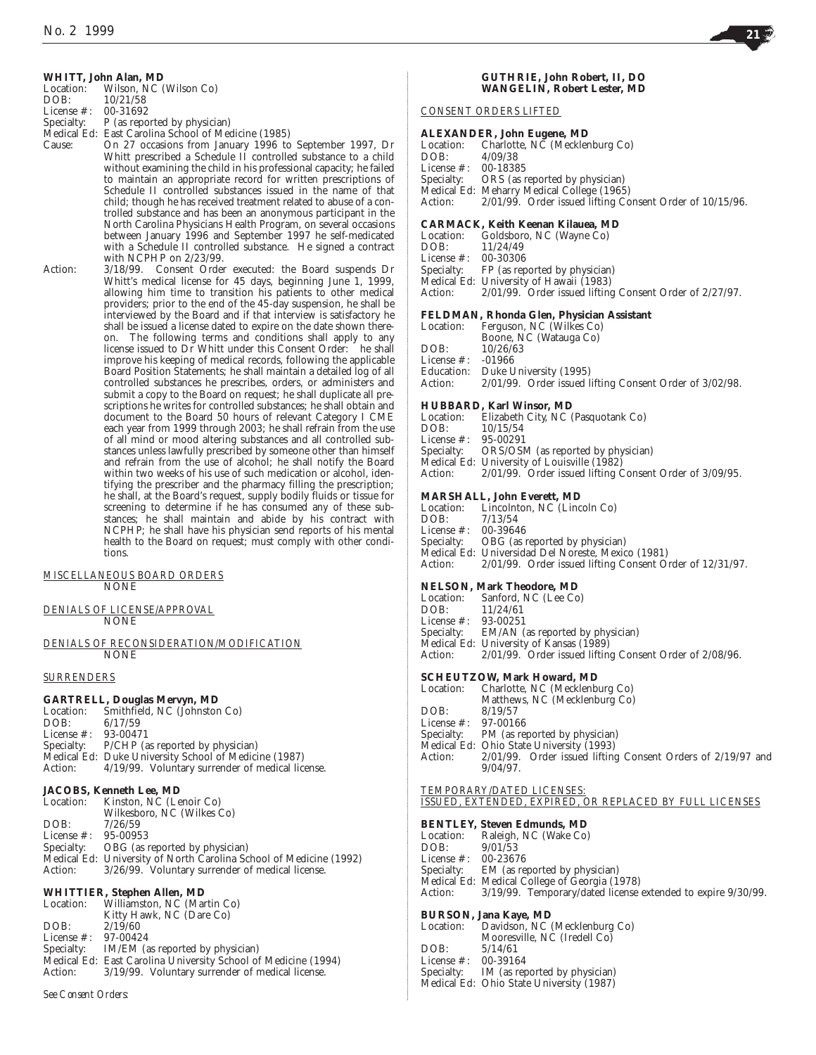## **WHITT, John Alan, MD**

| Location:          | Wilson, NC (Wilson Co)      |
|--------------------|-----------------------------|
| DOB:               | 10/21/58                    |
| License $\#$ :     | 00-31692                    |
| $C_{\text{non-1}}$ | D (as nononted by physician |

- Specialty: P (as reported by physician)
- Medical Ed: East Carolina School of Medicine (1985)
	- On 27 occasions from January 1996 to September 1997, Dr Whitt prescribed a Schedule II controlled substance to a child without examining the child in his professional capacity; he failed to maintain an appropriate record for written prescriptions of Schedule II controlled substances issued in the name of that child; though he has received treatment related to abuse of a controlled substance and has been an anonymous participant in the North Carolina Physicians Health Program, on several occasions between January 1996 and September 1997 he self-medicated with a Schedule II controlled substance. He signed a contract with NCPHP on 2/23/99.
- Action: 3/18/99. Consent Order executed: the Board suspends Dr Whitt's medical license for 45 days, beginning June 1, 1999, allowing him time to transition his patients to other medical providers; prior to the end of the 45-day suspension, he shall be interviewed by the Board and if that interview is satisfactory he shall be issued a license dated to expire on the date shown thereon. The following terms and conditions shall apply to any license issued to Dr Whitt under this Consent Order: he shall improve his keeping of medical records, following the applicable Board Position Statements; he shall maintain a detailed log of all controlled substances he prescribes, orders, or administers and submit a copy to the Board on request; he shall duplicate all prescriptions he writes for controlled substances; he shall obtain and document to the Board 50 hours of relevant Category I CME each year from 1999 through 2003; he shall refrain from the use of all mind or mood altering substances and all controlled substances unless lawfully prescribed by someone other than himself and refrain from the use of alcohol; he shall notify the Board within two weeks of his use of such medication or alcohol, identifying the prescriber and the pharmacy filling the prescription; he shall, at the Board's request, supply bodily fluids or tissue for screening to determine if he has consumed any of these substances; he shall maintain and abide by his contract with NCPHP; he shall have his physician send reports of his mental health to the Board on request; must comply with other conditions.

## *MISCELLANEOUS BOARD ORDERS* NONE

*DENIALS OF LICENSE/APPROVAL* NONE

### *DENIALS OF RECONSIDERATION/MODIFICATION* NONE

### *SURRENDERS*

### **GARTRELL, Douglas Mervyn, MD**

| Location:               | Smithfield. NC (Johnston Co)                             |
|-------------------------|----------------------------------------------------------|
| DOB:                    | 6/17/59                                                  |
| License $\#$ : 93-00471 |                                                          |
|                         | Specialty: P/CHP (as reported by physician)              |
|                         | Medical Ed: Duke University School of Medicine (1987)    |
|                         | Action: 4/19/99. Voluntary surrender of medical license. |

## **JACOBS, Kenneth Lee, MD**

| Location: Kinston, NC (Lenoir Co)                                  |
|--------------------------------------------------------------------|
| Wilkesboro, NC (Wilkes Co)                                         |
| 7/26/59                                                            |
| License #: 95-00953                                                |
| Specialty: OBG (as reported by physician)                          |
| Medical Ed: University of North Carolina School of Medicine (1992) |
| 3/26/99. Voluntary surrender of medical license.                   |
|                                                                    |

## **WHITTIER, Stephen Allen, MD**

| Location:             | Williamston, NC (Martin Co)                                    |
|-----------------------|----------------------------------------------------------------|
|                       | Kitty Hawk, NC (Dare Co)                                       |
| DOB:                  | 2/19/60                                                        |
| License #: $97-00424$ |                                                                |
|                       | Specialty: IM/EM (as reported by physician)                    |
|                       | Medical Ed: East Carolina University School of Medicine (1994) |
| Action:               | 3/19/99. Voluntary surrender of medical license.               |

### *See Consent Orders:*

## **GUTHRIE, John Robert, II, DO WANGELIN, Robert Lester, MD**

## *CONSENT ORDERS LIFTED*

### **ALEXANDER, John Eugene, MD**

|                     | Location: Charlotte, NC (Mecklenburg Co)                         |
|---------------------|------------------------------------------------------------------|
| DOB:                | 4/09/38                                                          |
| License #: 00-18385 |                                                                  |
|                     | Specialty: ORS (as reported by physician)                        |
|                     | Medical Ed: Meharry Medical College (1965)                       |
|                     | Action: 2/01/99. Order issued lifting Consent Order of 10/15/96. |
|                     |                                                                  |

## **CARMACK, Keith Keenan Kilauea, MD**

|                         | Location: Goldsboro, NC (Wayne Co)                              |
|-------------------------|-----------------------------------------------------------------|
| DOB: $11/24/49$         |                                                                 |
| License $\#$ : 00-30306 |                                                                 |
|                         | Specialty: FP (as reported by physician)                        |
|                         | Medical Ed: University of Hawaii (1983)                         |
|                         | Action: 2/01/99. Order issued lifting Consent Order of 2/27/97. |

## **FELDMAN, Rhonda Glen, Physician Assistant**

|                   | т епригал, такина сиси, т пузиши газиман                |
|-------------------|---------------------------------------------------------|
| Location:         | Ferguson, NC (Wilkes Co)                                |
|                   | Boone, NC (Watauga Co)                                  |
| DOB:              | 10/26/63                                                |
| License #: -01966 |                                                         |
|                   | Education: Duke University (1995)                       |
| Action:           | 2/01/99. Order issued lifting Consent Order of 3/02/98. |
|                   |                                                         |

## **HUBBARD, Karl Winsor, MD**

| Location:           | Elizabeth City, NC (Pasquotank Co)            |  |
|---------------------|-----------------------------------------------|--|
| DOB:                | 10/15/54                                      |  |
| License #: 95-00291 |                                               |  |
|                     | Specialty: ORS/OSM (as reported by physician) |  |
|                     | Medical Ed: University of Louisville (1982)   |  |
|                     |                                               |  |

Action: 2/01/99. Order issued lifting Consent Order of 3/09/95.

## **MARSHALL** John Everett, MD

|                     | ми познати по станителей. Мар                                    |
|---------------------|------------------------------------------------------------------|
|                     | Location: Lincolnton, NC (Lincoln Co)                            |
| DOB: 7/13/54        |                                                                  |
| License #: 00-39646 |                                                                  |
|                     | Specialty: OBG (as reported by physician)                        |
|                     | Medical Ed: Universidad Del Noreste, Mexico (1981)               |
|                     | Action: 2/01/99. Order issued lifting Consent Order of 12/31/97. |
|                     |                                                                  |

## **NELSON, Mark Theodore, MD**

|                       | Location: Sanford, NC (Lee Co)                                  |
|-----------------------|-----------------------------------------------------------------|
| DOB: $11/24/61$       |                                                                 |
| License #: $93-00251$ |                                                                 |
|                       | Specialty: EM/AN (as reported by physician)                     |
|                       | Medical Ed: University of Kansas (1989)                         |
|                       | Action: 2/01/99. Order issued lifting Consent Order of 2/08/96. |

### **SCHEUTZOW, Mark Howard, MD**

| Location:             | Charlotte, NC (Mecklenburg Co)                                   |
|-----------------------|------------------------------------------------------------------|
|                       | Matthews, NC (Mecklenburg Co)                                    |
| DOB:                  | 8/19/57                                                          |
| License #: $97-00166$ |                                                                  |
|                       | Specialty: PM (as reported by physician)                         |
|                       | Medical Ed: Ohio State University (1993)                         |
| Action:               | $2/01/99$ . Order issued lifting Consent Orders of $2/19/97$ and |
|                       | $9/04/97$ .                                                      |
|                       |                                                                  |
|                       | TEMPORARY/DATED LICENSES:                                        |
|                       | ISSUED. EXTENDED. EXPIRED. OR REPLACED BY FULL LICENSES          |
|                       |                                                                  |

### **BENTLEY, Steven Edmunds, MD**

|                     | вытавна окуспечници, пр                                      |
|---------------------|--------------------------------------------------------------|
| Location:           | Raleigh, NC (Wake Co)                                        |
| DOB:                | 9/01/53                                                      |
| License #: 00-23676 |                                                              |
|                     | Specialty: EM (as reported by physician)                     |
|                     | Medical Ed: Medical College of Georgia (1978)                |
| Action:             | 3/19/99. Temporary/dated license extended to expire 9/30/99. |
|                     |                                                              |

## **BURSON, Jana Kaye, MD**

| Location:     | Davidson, NC (Mecklenburg Co)            |
|---------------|------------------------------------------|
|               | Mooresville, NC (Iredell Co)             |
| DOB:          | 5/14/61                                  |
| License $#$ : | 00-39164                                 |
| Specialty:    | IM (as reported by physician)            |
|               | Medical Ed: Ohio State University (1987) |

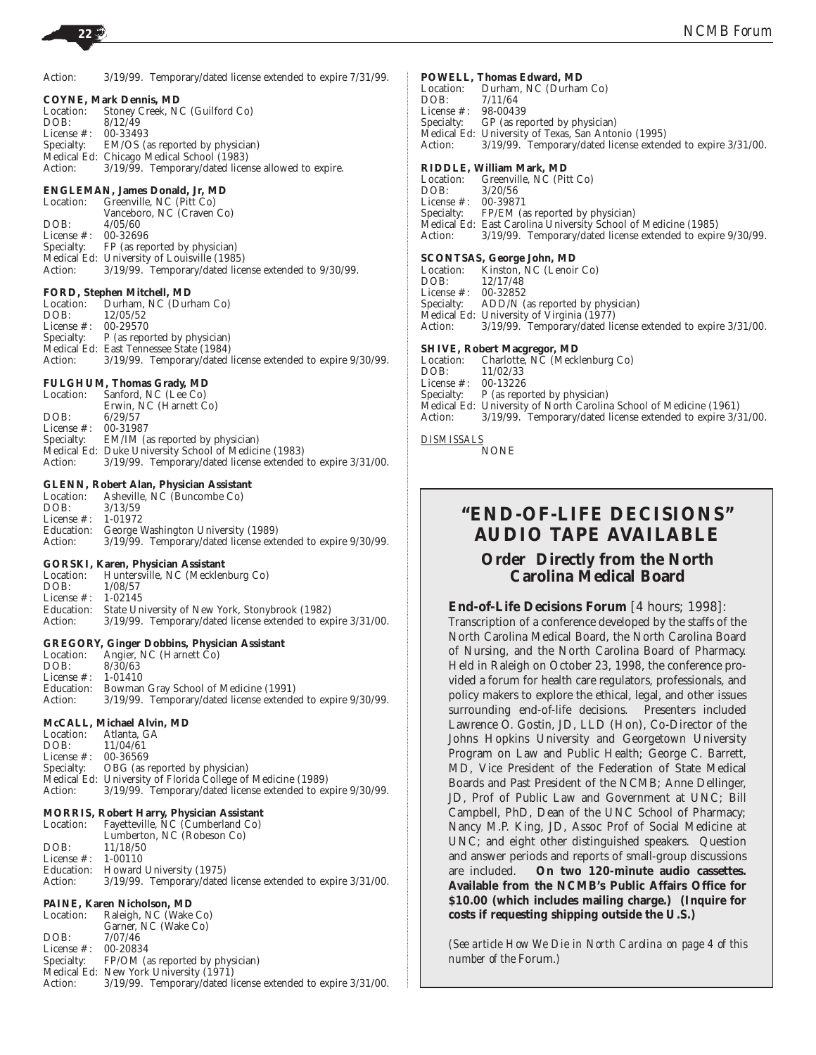Action:  $3/19/99$ . Temporary/dated license extended to expire  $7/31/99$ .

**COYNE, Mark Dennis, MD** Location: Stoney Creek, NC (Guilford Co)<br>DOB:  $8/12/49$ 8/12/49<br>00-33493 License #: Specialty: EM/OS (as reported by physician) Medical Ed: Chicago Medical School (1983)<br>Action: 3/19/99. Temporary/dated licen  $3/19/99$ . Temporary/dated license allowed to expire.

## **ENGLEMAN, James Donald, Jr, MD**

Location: Greenville, NC (Pitt Co) Vanceboro, NC (Craven Co) DOB: 4/05/60<br>License #: 00-32696 License #:<br>Specialty: FP (as reported by physician) Medical Ed: University of Louisville (1985)<br>Action: 3/19/99. Temporary/dated lice 3/19/99. Temporary/dated license extended to 9/30/99.

## **FORD, Stephen Mitchell, MD**

|                         | Location: Durham. NC (Durham Co)                                     |
|-------------------------|----------------------------------------------------------------------|
| DOB:                    | 12/05/52                                                             |
| License $\#$ : 00-29570 |                                                                      |
|                         | Specialty: P (as reported by physician)                              |
|                         | Medical Ed: East Tennessee State (1984)                              |
|                         | Action: 3/19/99. Temporary/dated license extended to expire 9/30/99. |
|                         |                                                                      |

## **FULGHUM, Thomas Grady, MD**

Location: Sanford, NC (Lee Co) Erwin, NC (Harnett Co) DOB: 6/29/57<br>License #: 00-31987 License #:<br>Specialty: EM/IM (as reported by physician) Medical Ed: Duke University School of Medicine (1983) Action: 3/19/99. Temporary/dated license extended to expire 3/31/00.

## **GLENN, Robert Alan, Physician Assistant**

| Asheville, NC (Buncombe Co)                                  |
|--------------------------------------------------------------|
| 3/13/59                                                      |
| License $\#$ : 1-01972                                       |
| Education: George Washington University (1989)               |
| 3/19/99. Temporary/dated license extended to expire 9/30/99. |
|                                                              |

### **GORSKI, Karen, Physician Assistant**

| Location:              | Huntersville, NC (Mecklenburg Co)                            |
|------------------------|--------------------------------------------------------------|
| DOB:                   | 1/08/57                                                      |
| License $\#$ : 1-02145 |                                                              |
| Education:             | State University of New York, Stonybrook (1982)              |
| Action:                | 3/19/99. Temporary/dated license extended to expire 3/31/00. |

### **GREGORY, Ginger Dobbins, Physician Assistant**

Location: Angier, NC (Harnett Čo) DOB: 8/30/63<br>License #: 1-01410 License #:<br>Education: Bowman Gray School of Medicine (1991) Action: 3/19/99. Temporary/dated license extended to expire 9/30/99.

## **McCALL, Michael Alvin, MD**

Location: Atlanta, GA<br>DOB: 11/04/61 DOB: 11/04/61<br>License #: 00-36569 00-36569 Specialty: OBG (as reported by physician) Medical Ed: University of Florida College of Medicine (1989) Action: 3/19/99. Temporary/dated license extended to expire 9/30/99.

### **MORRIS, Robert Harry, Physician Assistant**

| Location:              | Fayetteville, NC (Cumberland Co)                             |  |  |  |
|------------------------|--------------------------------------------------------------|--|--|--|
|                        | Lumberton, NC (Robeson Co)                                   |  |  |  |
| DOB:                   | 11/18/50                                                     |  |  |  |
| License $\#$ : 1-00110 |                                                              |  |  |  |
|                        | Education: Howard University (1975)                          |  |  |  |
| Action:                | 3/19/99. Temporary/dated license extended to expire 3/31/00. |  |  |  |
|                        |                                                              |  |  |  |

## **PAINE, Karen Nicholson, MD**

Location: Raleigh, NC (Wake Co) Garner, NC (Wake Co) DOB: 7/07/46<br>License #: 00-20834 License #:<br>Specialty: FP/OM (as reported by physician) Medical Ed: New York University (1971) Action: 3/19/99. Temporary/dated license extended to expire 3/31/00.

### **POWELL, Thomas Edward, MD**

Location: Durham, NC (Durham Co)<br>DOB:  $7/11/64$ 7/11/64<br>98-00439 License #:<br>Specialty: GP (as reported by physician) Medical Ed: University of Texas, San Antonio (1995) Action: 3/19/99. Temporary/dated license extended to expire 3/31/00. **RIDDLE, William Mark, MD** Location: Greenville, NC (Pitt Co)<br>DOB:  $3/20/56$ 3/20/56<br>00-39871 License #:<br>Specialty: FP/EM (as reported by physician) Medical Ed: East Carolina University School of Medicine (1985) Action: 3/19/99. Temporary/dated license extended to expire 9/30/99. **SCONTSAS, George John, MD** Location: Kinston, NC (Lenoir Co)<br>DOB:  $12/17/48$ 12/17/48<br>00-32852 License #:<br>Specialty: ADD/N (as reported by physician) Medical Ed: University of Virginia (1977)<br>Action: 3/19/99. Temporary/dated lic 3/19/99. Temporary/dated license extended to expire 3/31/00. **SHIVE, Robert Macgregor, MD** Location: Charlotte, NC (Mecklenburg Co)<br>DOB: 11/02/33  $11/02/33$ <br> $00-13226$ License #:<br>Specialty: P (as reported by physician) Medical Ed: University of North Carolina School of Medicine (1961)<br>Action: 3/19/99. Temporary/dated license extended to expire 3/3 3/19/99. Temporary/dated license extended to expire 3/31/00.

*DISMISSALS* NONE

## **"END-OF-LIFE DECISIONS" AUDIO TAPE AVAILABLE**

## **Order Directly from the North Carolina Medical Board**

## **End-of-Life Decisions Forum** [4 hours; 1998]:

Transcription of a conference developed by the staffs of the North Carolina Medical Board, the North Carolina Board of Nursing, and the North Carolina Board of Pharmacy. Held in Raleigh on October 23, 1998, the conference provided a forum for health care regulators, professionals, and policy makers to explore the ethical, legal, and other issues surrounding end-of-life decisions. Presenters included Lawrence O. Gostin, JD, LLD (Hon), Co-Director of the Johns Hopkins University and Georgetown University Program on Law and Public Health; George C. Barrett, MD, Vice President of the Federation of State Medical Boards and Past President of the NCMB; Anne Dellinger, JD, Prof of Public Law and Government at UNC; Bill Campbell, PhD, Dean of the UNC School of Pharmacy; Nancy M.P. King, JD, Assoc Prof of Social Medicine at UNC; and eight other distinguished speakers. Question and answer periods and reports of small-group discussions are included. **On two 120-minute audio cassettes. Available from the NCMB's Public Affairs Office for \$10.00 (which includes mailing charge.) (Inquire for costs if requesting shipping outside the U.S.)**

*(See article How We Die in North Carolina on page 4 of this number of the* Forum*.)*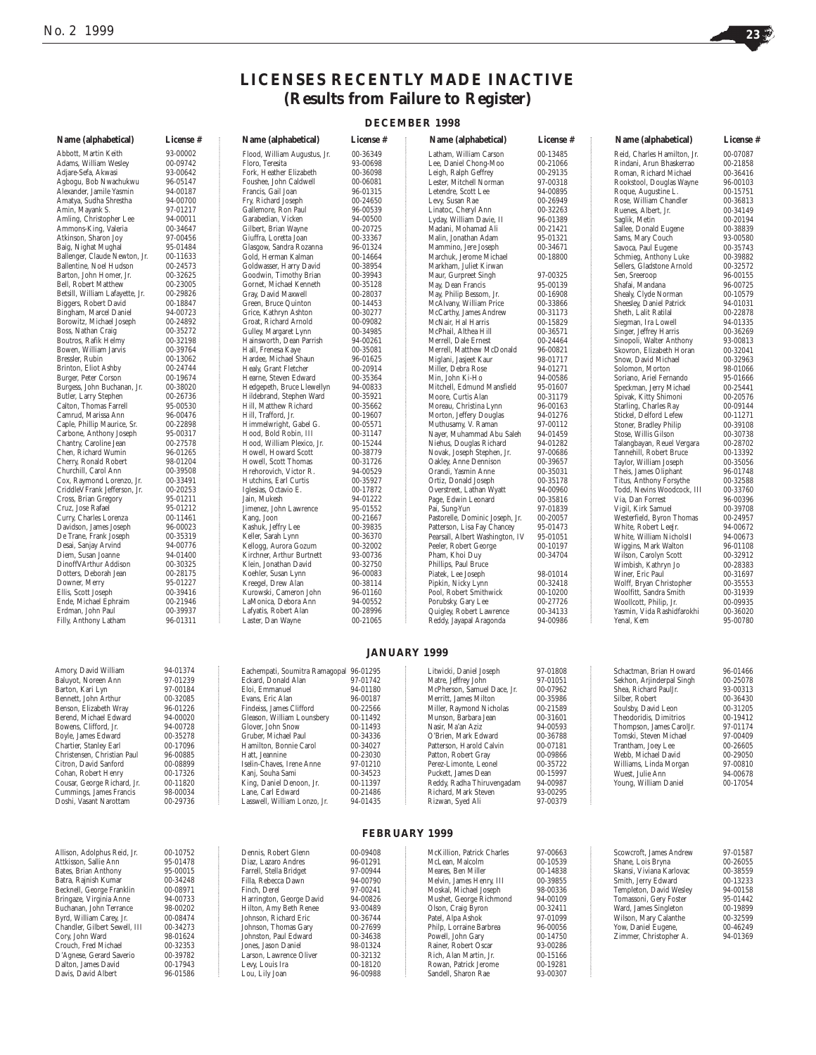Crouch, Fred Michael 00-32353<br>D'Agnese. Gerard Saverio 00-39782 D'Agnese, Gerard Saverio 00-39782 Dalton, James David 00-17943 Davis, David Albert 96-01586



## **LICENSES RECENTLY MADE INACTIVE (Results from Failure to Register)**

## **DECEMBER 1998**

| Name (alphabetical)                                       | License #            | Name (alphabetical)                                | License #            | Name (alphabetical)                          | License #            | Name (alphabetical)                              | License #            |
|-----------------------------------------------------------|----------------------|----------------------------------------------------|----------------------|----------------------------------------------|----------------------|--------------------------------------------------|----------------------|
| Abbott, Martin Keith                                      | 93-00002             | Flood, William Augustus, Jr.                       | 00-36349             | Latham, William Carson                       | 00-13485             | Reid, Charles Hamilton, Jr.                      | 00-07087             |
| Adams, William Wesley                                     | 00-09742             | Floro, Teresita                                    | 93-00698             | Lee, Daniel Chong-Moo                        | 00-21066             | Rindani, Arun Bhaskerrao                         | 00-21858             |
| Adjare-Sefa, Akwasi                                       | 93-00642             | Fork, Heather Elizabeth                            | 00-36098             | Leigh, Ralph Geffrey                         | 00-29135             | Roman, Richard Michael                           | 00-36416             |
| Agbogu, Bob Nwachukwu                                     | 96-05147             | Foushee, John Caldwell                             | 00-06081             | Lester, Mitchell Norman                      | 97-00318             | Rookstool, Douglas Wayne                         | 96-00103             |
| Alexander, Jamile Yasmin                                  | 94-00187             | Francis, Gail Joan                                 | 96-01315             | Letendre, Scott Lee                          | 94-00895             | Roque, Augustine L.                              | 00-15751             |
| Amatya, Sudha Shrestha                                    | 94-00700             | Fry, Richard Joseph                                | 00-24650             | Levy, Susan Rae                              | 00-26949             | Rose, William Chandler                           | 00-36813             |
| Amin, Mayank S.                                           | 97-01217             | Gallemore, Ron Paul                                | 96-00539             | Linatoc, Cheryl Ann                          | 00-32263             | Ruenes, Albert, Jr.                              | 00-34149             |
| Amling, Christopher Lee                                   | 94-00011             | Garabedian, Vicken                                 | 94-00500             | Lyday, William Davie, II                     | 96-01389             | Saglik, Metin                                    | 00-20194             |
| Ammons-King, Valeria                                      | 00-34647             | Gilbert, Brian Wayne                               | 00-20725             | Madani, Mohamad Ali                          | 00-21421             | Sallee, Donald Eugene                            | 00-38839             |
| Atkinson, Sharon Joy                                      | 97-00456             | Giuffra, Loretta Joan                              | 00-33367             | Malin, Jonathan Adam                         | 95-01321             | Sams, Mary Couch                                 | 93-00580             |
| Baig, Nighat Mughal                                       | 95-01484             | Glasgow, Sandra Rozanna                            | 96-01324             | Mammino, Jere Joseph                         | 00-34671             | Savoca, Paul Eugene                              | 00-35743             |
| Ballenger, Claude Newton, Jr.                             | 00-11633             | Gold, Herman Kalman                                | 00-14664             | Marchuk, Jerome Michael                      | 00-18800             | Schmieg, Anthony Luke                            | 00-39882             |
| Ballentine, Noel Hudson                                   | 00-24573             | Goldwasser, Harry David                            | 00-38954             | Markham, Juliet Kirwan                       |                      | Sellers, Gladstone Arnold                        | 00-32572             |
| Barton. John Homer. Jr.                                   | 00-32625             | Goodwin, Timothy Brian                             | 00-39943             | Maur, Gurpreet Singh                         | 97-00325             | Sen, Sreeroop                                    | 96-00155             |
| Bell, Robert Matthew                                      | 00-23005             | Gornet, Michael Kenneth                            | 00-35128             | May, Dean Francis                            | 95-00139             | Shafai, Mandana                                  | 96-00725             |
| Betsill, William Lafayette, Jr.                           | 00-29826             | Gray, David Maxwell                                | 00-28037             | May, Philip Bessom, Jr.                      | 00-16908             | Shealy, Clyde Norman                             | 00-10579             |
| Biggers, Robert David                                     | 00-18847             | Green, Bruce Quinton                               | 00-14453             | McAlvany, William Price                      | 00-33866             | Sheesley, Daniel Patrick                         | 94-01031             |
| Bingham, Marcel Daniel                                    | 94-00723             | Grice, Kathryn Ashton                              | 00-30277             | McCarthy, James Andrew                       | 00-31173             | Sheth, Lalit Ratilal                             | 00-22878             |
| Borowitz, Michael Joseph                                  | 00-24892             | Groat, Richard Arnold                              | 00-09082             | McNair, Hal Harris                           | 00-15829             | Siegman, Ira Lowell                              | 94-01335             |
| Boss, Nathan Craig                                        | 00-35272             | Gulley, Margaret Lynn                              | 00-34985             | McPhail, Althea Hill                         | 00-36571             | Singer, Jeffrey Harris                           | 00-36269             |
| Boutros, Rafik Helmy                                      | 00-32198             | Hainsworth, Dean Parrish                           | 94-00261             | Merrell, Dale Ernest                         | 00-24464             | Sinopoli, Walter Anthony                         | 93-00813             |
| Bowen, William Jarvis                                     | 00-39764             | Hall, Frenesa Kaye                                 | 00-35081             | Merrell, Matthew McDonald                    | 96-00821             | Skovron, Elizabeth Horan                         | 00-32041             |
| Bressler, Rubin                                           | 00-13062             | Hardee, Michael Shaun                              | 96-01625             | Miglani, Jasjeet Kaur                        | 98-01717             | Snow, David Michael                              | 00-32963             |
| Brinton, Eliot Ashby                                      | 00-24744<br>00-19674 | Healy, Grant Fletcher                              | 00-20914             | Miller, Debra Rose                           | 94-01271             | Solomon, Morton                                  | 98-01066             |
| Burger, Peter Corson                                      |                      | Hearne, Steven Edward                              | 00-35364             | Min, John Ki-Ho                              | 94-00586             | Soriano, Ariel Fernando                          | 95-01666             |
| Burgess, John Buchanan, Jr.                               | 00-38020             | Hedgepeth, Bruce Llewellyn                         | 94-00833             | Mitchell, Edmund Mansfield                   | 95-01607             | Speckman, Jerry Michael                          | 00-25441             |
| Butler, Larry Stephen<br>Calton. Thomas Farrell           | 00-26736             | Hildebrand, Stephen Ward<br>Hill. Matthew Richard  | 00-35921             | Moore, Curtis Alan                           | 00-31179             | Spivak, Kitty Shimoni                            | 00-20576             |
|                                                           | 95-00530             | Hill. Trafford. Jr.                                | 00-35662             | Moreau, Christina Lynn                       | 96-00163<br>94-01276 | Starling, Charles Ray                            | 00-09144             |
| Camrud, Marissa Ann                                       | 96-00476             | Himmelwright, Gabel G.                             | 00-19607             | Morton, Jeffery Douglas                      |                      | Stickel, Delford Lefew<br>Stoner, Bradley Philip | 00-11271             |
| Caple, Phillip Maurice, Sr.<br>Carbone, Anthony Joseph    | 00-22898             | Hood, Bold Robin, III                              | 00-05571             | Muthusamy, V. Raman                          | 97-00112             |                                                  | 00-39108             |
| Chantry, Caroline Jean                                    | 95-00317             |                                                    | 00-31147             | Nayer, Muhammad Abu Saleh                    | 94-01459<br>94-01282 | Stose, Willis Gilson                             | 00-30738             |
| Chen, Richard Wumin                                       | 00-27578<br>96-01265 | Hood, William Plexico, Jr.<br>Howell. Howard Scott | 00-15244             | Niehus, Douglas Richard                      |                      | Talangbayan, Reuel Vergara                       | 00-28702             |
| Cherry, Ronald Robert                                     | 98-01204             | Howell, Scott Thomas                               | 00-38779<br>00-31726 | Novak, Joseph Stephen, Jr.                   | 97-00686             | Tannehill, Robert Bruce                          | 00-13392             |
| Churchill, Carol Ann                                      | 00-39508             | Hrehorovich, Victor R.                             | 94-00529             | Oakley, Anne Dennison<br>Orandi, Yasmin Anne | 00-39657<br>00-35031 | Taylor, William Joseph                           | 00-35056<br>96-01748 |
| Cox, Raymond Lorenzo, Jr.                                 | 00-33491             | Hutchins, Earl Curtis                              | 00-35927             | Ortiz, Donald Joseph                         | 00-35178             | Theis, James Oliphant<br>Titus, Anthony Forsythe | 00-32588             |
| CriddleVFrank Jefferson, Jr.                              | 00-20253             | Iglesias, Octavio E.                               | 00-17872             | Overstreet, Lathan Wyatt                     | 94-00960             | Todd, Nevins Woodcock, III                       | 00-33760             |
| Cross, Brian Gregory                                      | 95-01211             | Jain, Mukesh                                       | 94-01222             | Page, Edwin Leonard                          | 00-35816             | Via, Dan Forrest                                 | 96-00396             |
| Cruz, Jose Rafael                                         | 95-01212             | Jimenez, John Lawrence                             | 95-01552             | Pai, Sung-Yun                                | 97-01839             | Vigil, Kirk Samuel                               | 00-39708             |
| Curry, Charles Lorenza                                    | 00-11461             | Kang, Joon                                         | 00-21667             | Pastorelle, Dominic Joseph, Jr.              | 00-20057             | Westerfield, Byron Thomas                        | 00-24957             |
| Davidson, James Joseph                                    | 96-00023             | Kashuk, Jeffry Lee                                 | 00-39835             | Patterson, Lisa Fay Chancey                  | 95-01473             | White, Robert LeeJr.                             | 94-00672             |
| De Trane, Frank Joseph                                    | 00-35319             | Keller, Sarah Lynn                                 | 00-36370             | Pearsall, Albert Washington, IV              | 95-01051             | White, William NicholsII                         | 94-00673             |
| Desai, Sanjay Arvind                                      | 94-00776             | Kellogg, Aurora Gozum                              | 00-32002             | Peeler, Robert George                        | 00-10197             | Wiggins, Mark Walton                             | 96-01108             |
| Diem, Susan Joanne                                        | 94-01400             | Kirchner, Arthur Burtnett                          | 93-00736             | Pham, Khoi Duy                               | 00-34704             | Wilson, Carolyn Scott                            | 00-32912             |
| DinoffVArthur Addison                                     | 00-30325             | Klein, Jonathan David                              | 00-32750             | Phillips, Paul Bruce                         |                      | Wimbish, Kathryn Jo                              | 00-28383             |
| Dotters, Deborah Jean                                     | 00-28175             | Koehler, Susan Lynn                                | 96-00083             | Piatek, Lee Joseph                           | 98-01014             | Winer, Eric Paul                                 | 00-31697             |
| Downer, Merry                                             | 95-01227             | Kreegel, Drew Alan                                 | 00-38114             | Pipkin, Nicky Lynn                           | 00-32418             | Wolff, Bryan Christopher                         | 00-35553             |
| Ellis, Scott Joseph                                       | 00-39416             | Kurowski, Cameron John                             | 96-01160             | Pool, Robert Smithwick                       | 00-10200             | Woolfitt, Sandra Smith                           | 00-31939             |
| Ende, Michael Ephraim                                     | 00-21946             | LaMonica, Debora Ann                               | 94-00552             | Porubsky, Gary Lee                           | 00-27726             | Woollcott, Philip, Jr.                           | 00-09935             |
| Erdman, John Paul                                         | 00-39937             | Lafyatis, Robert Alan                              | 00-28996             | Quigley, Robert Lawrence                     | 00-34133             | Yasmin, Vida Rashidfarokhi                       | 00-36020             |
| Filly, Anthony Latham                                     | 96-01311             | Laster, Dan Wayne                                  | 00-21065             | Reddy, Jayapal Aragonda                      | 94-00986             | Yenal, Kem                                       | 95-00780             |
|                                                           |                      |                                                    |                      |                                              |                      |                                                  |                      |
|                                                           |                      |                                                    |                      | <b>JANUARY 1999</b>                          |                      |                                                  |                      |
| Amory, David William                                      | 94-01374             | Eachempati, Soumitra Ramagopal 96-01295            |                      | Litwicki, Daniel Joseph                      | 97-01808             | Schactman, Brian Howard                          | 96-01466             |
| Baluyot, Noreen Ann                                       | 97-01239             | Eckard, Donald Alan                                | 97-01742             | Matre, Jeffrey John                          | 97-01051             | Sekhon, Arjinderpal Singh                        | 00-25078             |
| Barton, Kari Lyn                                          | 97-00184             | Eloi, Emmanuel                                     | 94-01180             | McPherson, Samuel Dace, Jr.                  | 00-07962             | Shea, Richard PaulJr.                            | 93-00313             |
| Bennett, John Arthur                                      | 00-32085             | Evans. Eric Alan                                   | 96-00187             | Merritt. James Milton                        | 00-35986             | Silber. Robert                                   | 00-36430             |
| Benson, Elizabeth Wray                                    | 96-01226             | Findeiss, James Clifford                           | 00-22566             | Miller. Raymond Nicholas                     | 00-21589             | Soulsby, David Leon                              | 00-31205             |
| Berend, Michael Edward                                    | 94-00020             | Gleason, William Lounsbery                         | 00-11492             | Munson. Barbara Jean                         | 00-31601             | Theodoridis, Dimitrios                           | 00-19412             |
| Bowens, Clifford, Jr.                                     | 94-00728             | Glover, John Snow                                  | 00-11493             | Nasir. Ma'an Aziz                            | 94-00593             | Thompson, James CarolJr.                         | 97-01174             |
| Boyle, James Edward                                       | 00-35278             | Gruber, Michael Paul                               | 00-34336             | O'Brien, Mark Edward                         | 00-36788             | Tomski, Steven Michael                           | 97-00409             |
| Chartier, Stanley Earl                                    | 00-17096             | Hamilton, Bonnie Carol                             | 00-34027             | Patterson, Harold Calvin                     | 00-07181             | Trantham, Joey Lee                               | 00-26605             |
| Christensen, Christian Paul                               | 96-00885             | Hatt, Jeannine                                     | 00-23030             | Patton, Robert Gray                          | 00-09866             | Webb, Michael David                              | 00-29050             |
| Citron, David Sanford                                     | 00-08899             | Iselin-Chaves, Irene Anne                          | 97-01210             | Perez-Limonte, Leonel                        | 00-35722             | Williams, Linda Morgan                           | 97-00810             |
| Cohan, Robert Henry                                       | 00-17326             | Kanj, Souha Sami                                   | 00-34523             | Puckett, James Dean                          | 00-15997             | Wuest, Julie Ann                                 | 94-00678             |
| Cousar, George Richard, Jr.                               | 00-11820             | King, Daniel Denoon, Jr.                           | 00-11397             | Reddy, Radha Thiruvengadam                   | 94-00987             | Young, William Daniel                            | 00-17054             |
| Cummings, James Francis                                   | 98-00034             | Lane, Carl Edward                                  | 00-21486             | Richard, Mark Steven                         | 93-00295             |                                                  |                      |
| Doshi, Vasant Narottam                                    | 00-29736             | Lasswell, William Lonzo, Jr.                       | 94-01435             | Rizwan, Syed Ali                             | 97-00379             |                                                  |                      |
|                                                           |                      |                                                    |                      |                                              |                      |                                                  |                      |
|                                                           |                      |                                                    |                      | <b>FEBRUARY 1999</b>                         |                      |                                                  |                      |
| Allison, Adolphus Reid, Jr.                               | 00-10752             | Dennis, Robert Glenn                               | 00-09408             | McKillion, Patrick Charles                   | 97-00663             | Scowcroft, James Andrew                          | 97-01587             |
| Attkisson, Sallie Ann                                     | 95-01478             | Diaz, Lazaro Andres                                | 96-01291             | McLean, Malcolm                              | 00-10539             | Shane, Lois Bryna                                | 00-26055             |
| Bates, Brian Anthony                                      | 95-00015             | Farrell. Stella Bridget                            | 97-00944             | Meares, Ben Miller                           | 00-14838             | Skansi, Viviana Karlovac                         | 00-38559             |
| Batra, Rajnish Kumar                                      | 00-34248             | Filla, Rebecca Dawn                                | 94-00790             | Melvin, James Henry, III                     | 00-39855             | Smith, Jerry Edward                              | 00-13233             |
| Becknell, George Franklin                                 | 00-08971             | Finch, Derel                                       | 97-00241             | Moskal, Michael Joseph                       | 98-00336             | Templeton, David Wesley                          | 94-00158             |
| Bringaze, Virginia Anne                                   | 94-00733             | Harrington, George David                           | 94-00826             | Mushet, George Richmond                      | 94-00109             | Tomassoni, Gery Foster                           | 95-01442             |
| Buchanan, John Terrance                                   | 98-00202             | Hilton, Amy Beth Renee                             | 93-00489             | Olson, Craig Byron                           | 00-32411             | Ward, James Singleton                            | 00-19899             |
| Byrd, William Carey, Jr.<br>Chandler, Gilbert Sewell, III | 00-08474<br>00-34273 | Johnson, Richard Eric<br>Johnson, Thomas Gary      | 00-36744<br>00-27699 | Patel, Alpa Ashok<br>Philp, Lorraine Barbrea | 97-01099<br>96-00056 | Wilson, Mary Calanthe<br>Yow, Daniel Eugene,     | 00-32599<br>00-46249 |
| Cory, John Ward                                           | 98-01624             | Johnston, Paul Edward                              | 00-34638             | Powell, John Gary                            | 00-14750             | Zimmer, Christopher A.                           | 94-01369             |

Painer, Robert Oscar and 193-00286<br>
Rich, Alan Martin, Jr. 00-15166 Rich, Alan Martin, Jr. 00-15166 Rowan, Patrick Jerome 00-19281 Sandell, Sharon Rae 93-00307

Jones, Jason Daniel 98-01324 Larson, Lawrence Oliver 00-32132 Levy, Louis Ira 00-18120 Lou, Lily Joan 96-00988